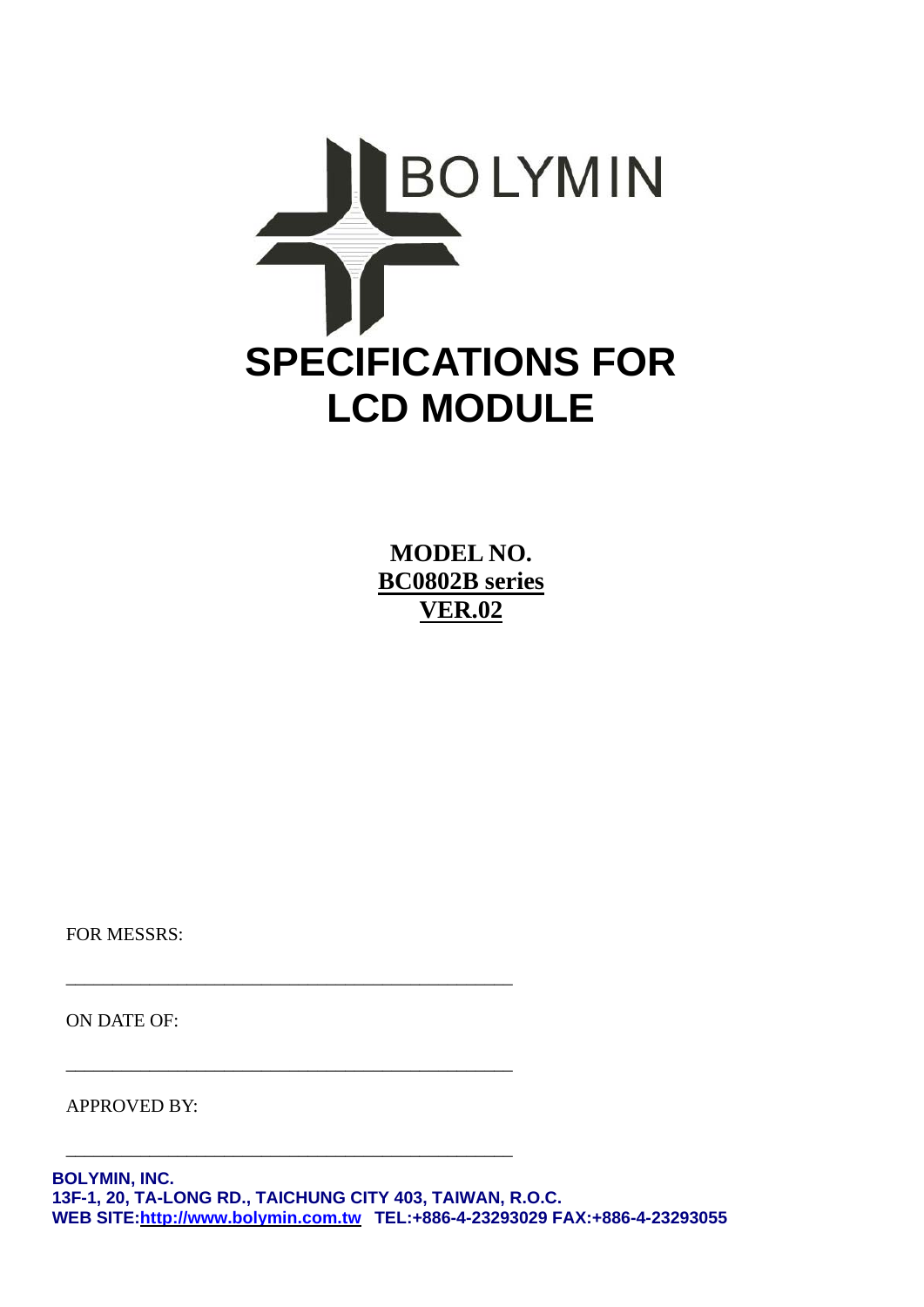

**MODEL NO. BC0802B series VER.02**

FOR MESSRS:

ON DATE OF:

APPROVED BY:

\_\_\_\_\_\_\_\_\_\_\_\_\_\_\_\_\_\_\_\_\_\_\_\_\_\_\_\_\_\_\_\_\_\_\_\_\_\_\_\_\_\_\_\_\_\_\_\_

\_\_\_\_\_\_\_\_\_\_\_\_\_\_\_\_\_\_\_\_\_\_\_\_\_\_\_\_\_\_\_\_\_\_\_\_\_\_\_\_\_\_\_\_\_\_\_\_

\_\_\_\_\_\_\_\_\_\_\_\_\_\_\_\_\_\_\_\_\_\_\_\_\_\_\_\_\_\_\_\_\_\_\_\_\_\_\_\_\_\_\_\_\_\_\_\_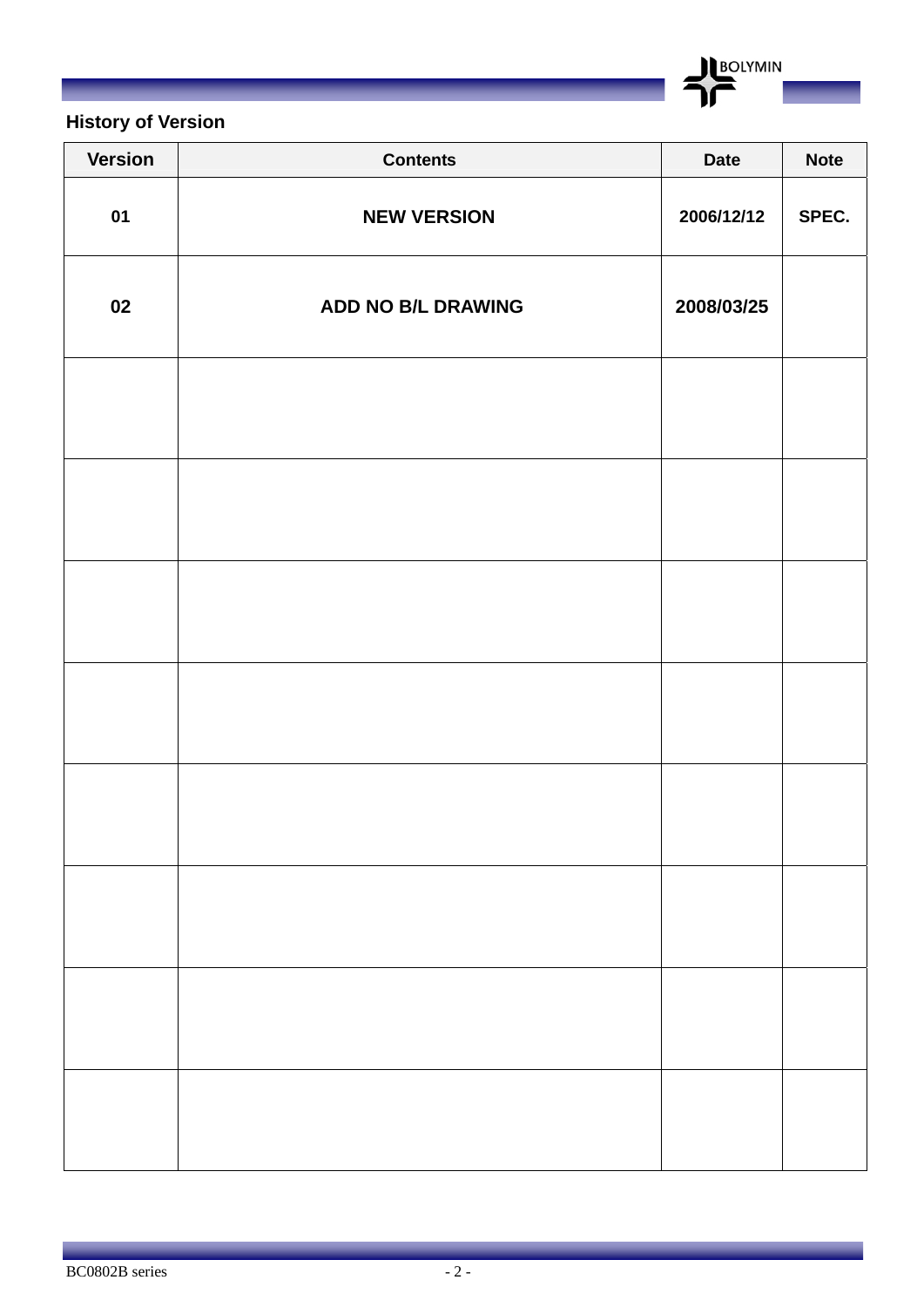BOLYMIN

### **History of Version**

| <b>Version</b> | <b>Contents</b>    | <b>Date</b> | <b>Note</b> |
|----------------|--------------------|-------------|-------------|
| 01             | <b>NEW VERSION</b> | 2006/12/12  | SPEC.       |
| 02             | ADD NO B/L DRAWING | 2008/03/25  |             |
|                |                    |             |             |
|                |                    |             |             |
|                |                    |             |             |
|                |                    |             |             |
|                |                    |             |             |
|                |                    |             |             |
|                |                    |             |             |
|                |                    |             |             |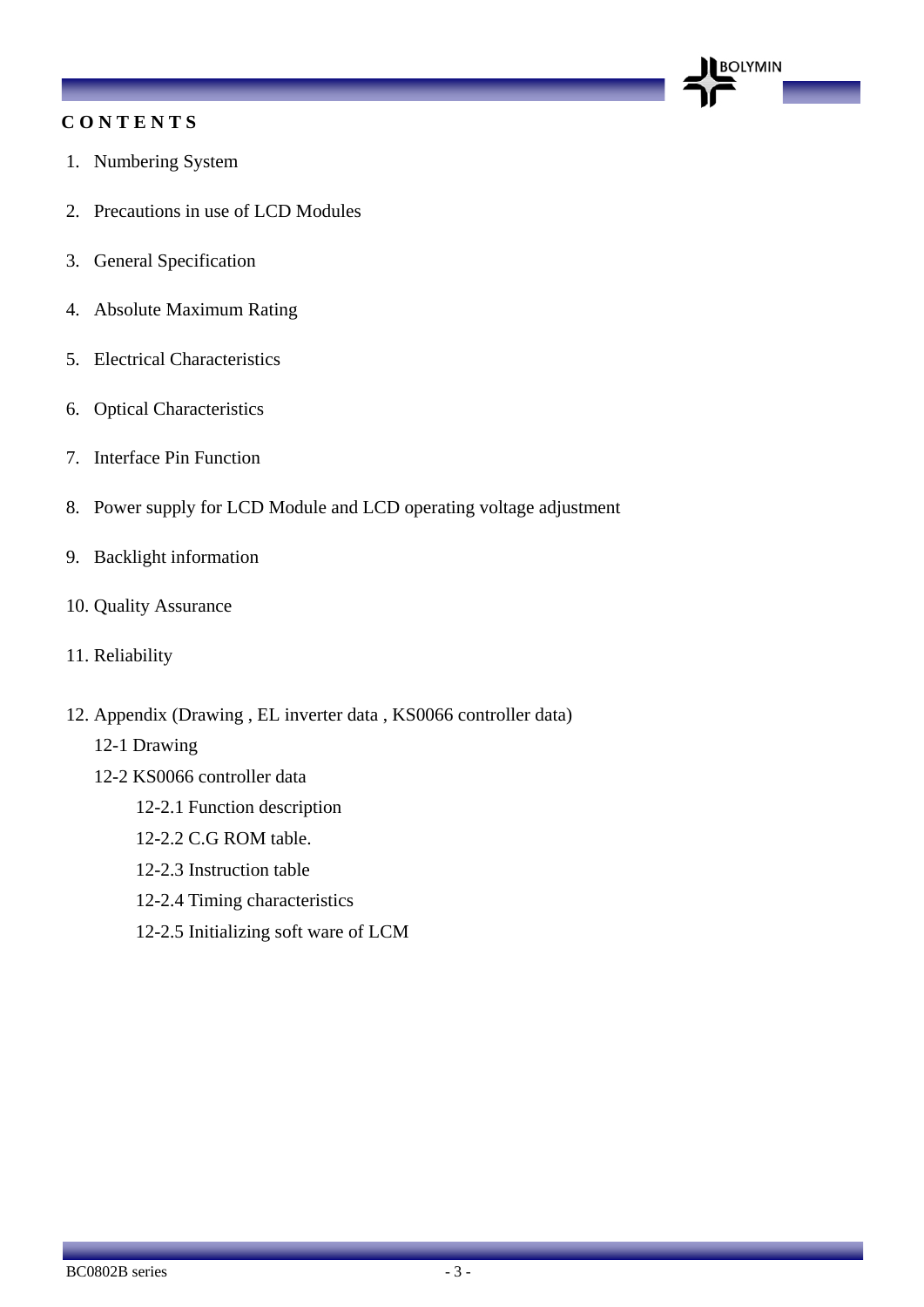#### **C O N T E N T S**

- 1. Numbering System
- 2. Precautions in use of LCD Modules
- 3. General Specification
- 4. Absolute Maximum Rating
- 5. Electrical Characteristics
- 6. Optical Characteristics
- 7. Interface Pin Function
- 8. Power supply for LCD Module and LCD operating voltage adjustment

**BOLYMIN** 

- 9. Backlight information
- 10. Quality Assurance
- 11. Reliability
- 12. Appendix (Drawing , EL inverter data , KS0066 controller data)
	- 12-1 Drawing
	- 12-2 KS0066 controller data
		- 12-2.1 Function description
		- 12-2.2 C.G ROM table.
		- 12-2.3 Instruction table
		- 12-2.4 Timing characteristics
		- 12-2.5 Initializing soft ware of LCM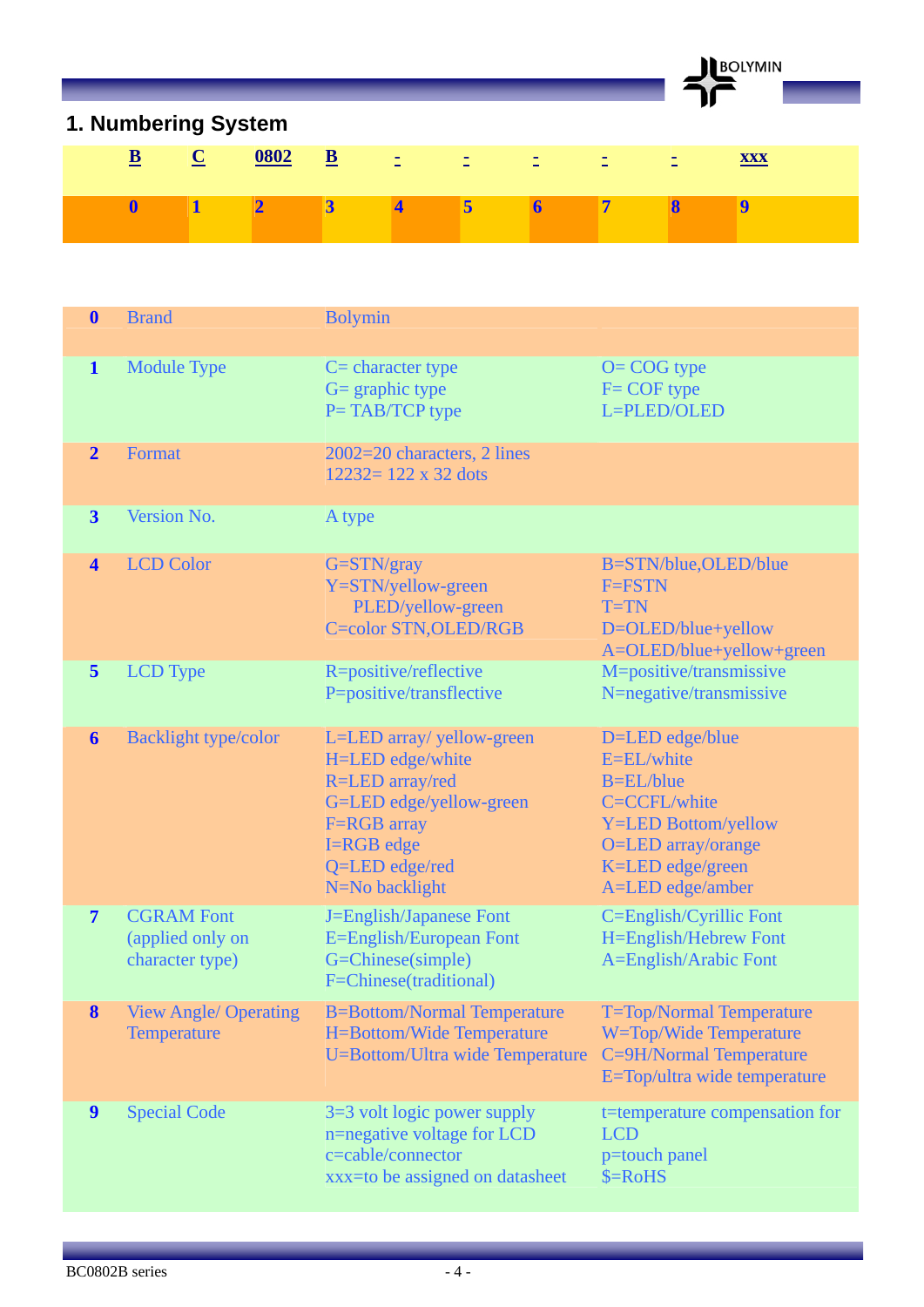BOLYMIN

## **1. Numbering System**

| $\underline{\mathbf{B}}$ $\underline{\mathbf{C}}$ | $\frac{0802}{2}$ B $\pm$ $\pm$ $\pm$ $\pm$ $\pm$ $\pm$ |  |  |  |  |
|---------------------------------------------------|--------------------------------------------------------|--|--|--|--|
|                                                   |                                                        |  |  |  |  |
|                                                   |                                                        |  |  |  |  |
|                                                   |                                                        |  |  |  |  |

| $\boldsymbol{0}$        | <b>Brand</b>                                             | <b>Bolymin</b>                                                                                                                                               |                                                                                                                                                               |
|-------------------------|----------------------------------------------------------|--------------------------------------------------------------------------------------------------------------------------------------------------------------|---------------------------------------------------------------------------------------------------------------------------------------------------------------|
| $\mathbf{1}$            | <b>Module Type</b>                                       | $C =$ character type<br>$G =$ graphic type<br>P=TAB/TCP type                                                                                                 | $O = COG$ type<br>$F = COF$ type<br>L=PLED/OLED                                                                                                               |
| $\overline{2}$          | Format                                                   | 2002=20 characters, 2 lines<br>$12232 = 122 \times 32$ dots                                                                                                  |                                                                                                                                                               |
| $\overline{\mathbf{3}}$ | Version No.                                              | A type                                                                                                                                                       |                                                                                                                                                               |
| $\overline{\mathbf{4}}$ | <b>LCD Color</b>                                         | $G = STN/gray$<br>Y=STN/yellow-green<br>PLED/yellow-green<br><b>C=color STN, OLED/RGB</b>                                                                    | B=STN/blue, OLED/blue<br>F=FSTN<br>$T=TN$<br>D=OLED/blue+yellow<br>A=OLED/blue+yellow+green                                                                   |
| $\overline{\mathbf{5}}$ | <b>LCD</b> Type                                          | R=positive/reflective<br>P=positive/transflective                                                                                                            | M=positive/transmissive<br>N=negative/transmissive                                                                                                            |
| 6                       | <b>Backlight type/color</b>                              | L=LED array/ yellow-green<br>H=LED edge/white<br>R=LED array/red<br>G=LED edge/yellow-green<br>F=RGB array<br>I=RGB edge<br>Q=LED edge/red<br>N=No backlight | D=LED edge/blue<br>E=EL/white<br><b>B=EL/blue</b><br>C=CCFL/white<br><b>Y=LED Bottom/yellow</b><br>O=LED array/orange<br>K=LED edge/green<br>A=LED edge/amber |
| $\overline{7}$          | <b>CGRAM Font</b><br>(applied only on<br>character type) | J=English/Japanese Font<br>E=English/European Font<br>G=Chinese(simple)<br>F=Chinese(traditional)                                                            | C=English/Cyrillic Font<br>H=English/Hebrew Font<br>A=English/Arabic Font                                                                                     |
| 8                       | <b>View Angle/ Operating</b><br><b>Temperature</b>       | <b>B=Bottom/Normal Temperature</b><br><b>H=Bottom/Wide Temperature</b><br>U=Bottom/Ultra wide Temperature                                                    | <b>T=Top/Normal Temperature</b><br>W=Top/Wide Temperature<br>C=9H/Normal Temperature<br>E=Top/ultra wide temperature                                          |
| $\boldsymbol{9}$        | <b>Special Code</b>                                      | $3=3$ volt logic power supply<br>n=negative voltage for LCD<br>c=cable/connector<br>xxx=to be assigned on datasheet                                          | t=temperature compensation for<br><b>LCD</b><br>p=touch panel<br>$$=RoHS$                                                                                     |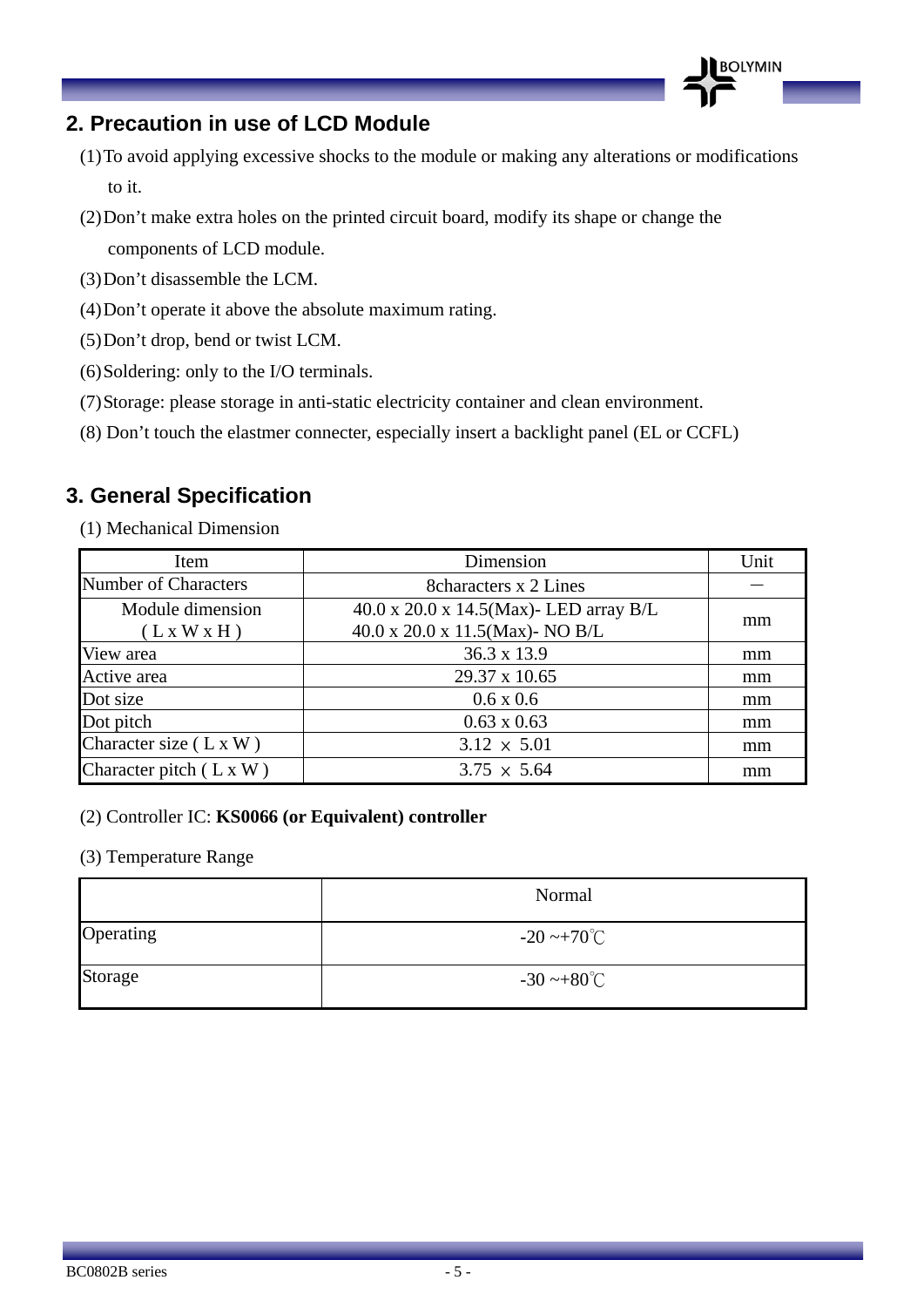### **2. Precaution in use of LCD Module**

(1)To avoid applying excessive shocks to the module or making any alterations or modifications to it.

**BOLYMIN** 

- (2)Don't make extra holes on the printed circuit board, modify its shape or change the components of LCD module.
- (3)Don't disassemble the LCM.
- (4)Don't operate it above the absolute maximum rating.
- (5)Don't drop, bend or twist LCM.
- (6)Soldering: only to the I/O terminals.
- (7)Storage: please storage in anti-static electricity container and clean environment.
- (8) Don't touch the elastmer connecter, especially insert a backlight panel (EL or CCFL)

### **3. General Specification**

(1) Mechanical Dimension

| Item                            | Dimension                                                                             | Unit |
|---------------------------------|---------------------------------------------------------------------------------------|------|
| Number of Characters            | <b>8</b> Scharacters x 2 Lines                                                        |      |
| Module dimension<br>(L x W x H) | $40.0 \times 20.0 \times 14.5$ (Max)-LED array B/L<br>40.0 x 20.0 x 11.5(Max)- NO B/L | mm   |
| View area                       | 36.3 x 13.9                                                                           | mm   |
| Active area                     | 29.37 x 10.65                                                                         | mm   |
| Dot size                        | $0.6 \times 0.6$                                                                      | mm   |
| Dot pitch                       | $0.63 \times 0.63$                                                                    | mm   |
| Character size $(L \times W)$   | $3.12 \times 5.01$                                                                    | mm   |
| Character pitch $(L x W)$       | $3.75 \times 5.64$                                                                    | mm   |

#### (2) Controller IC: **KS0066 (or Equivalent) controller**

#### (3) Temperature Range

|           | Normal                  |
|-----------|-------------------------|
| Operating | $-20 \sim +70^{\circ}C$ |
| Storage   | $-30 \sim +80^{\circ}C$ |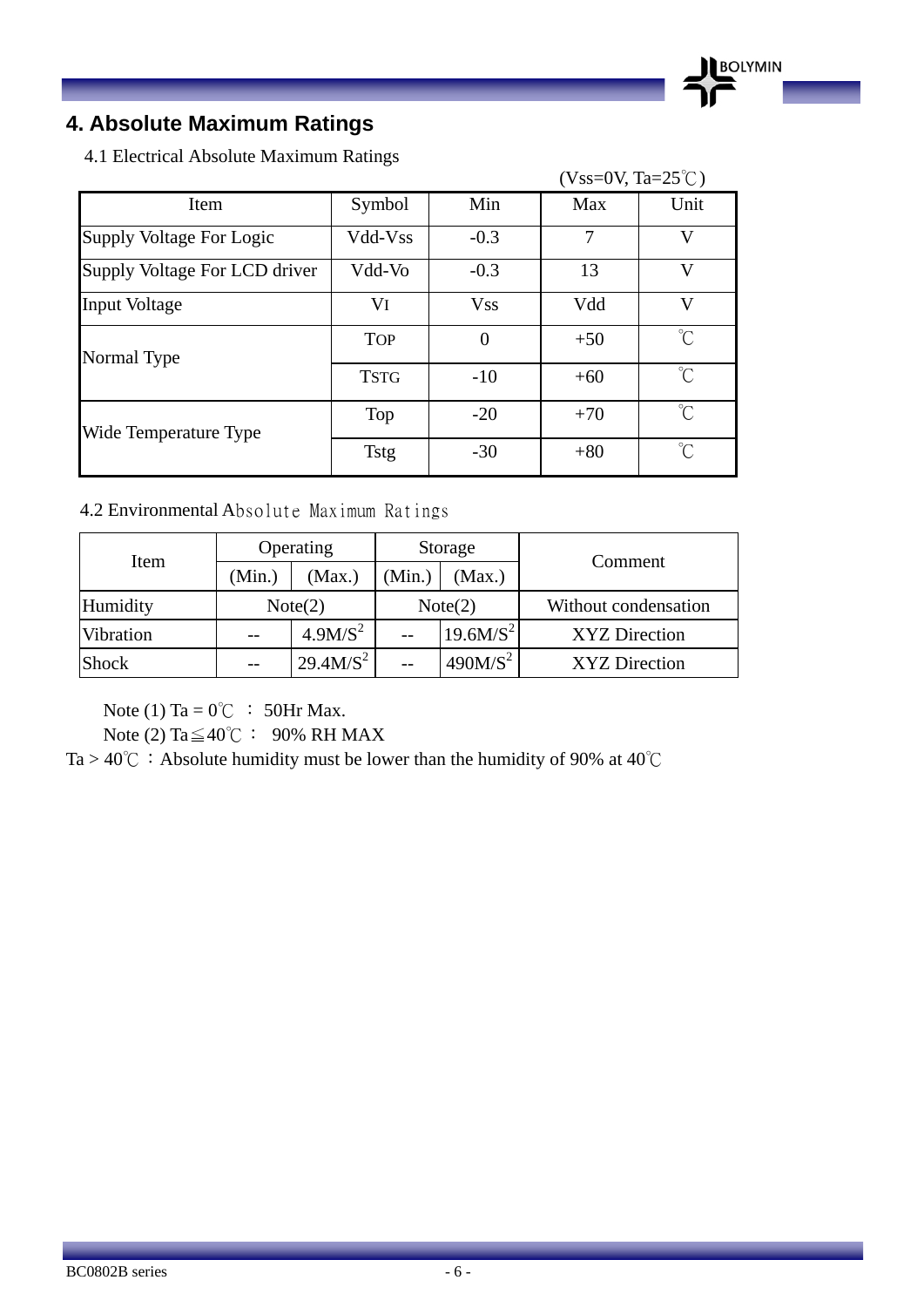### **4. Absolute Maximum Ratings**

4.1 Electrical Absolute Maximum Ratings

|                               |             |            | $(Vss=0V, Ta=25^{\circ}C)$ |                     |
|-------------------------------|-------------|------------|----------------------------|---------------------|
| Item                          | Symbol      | Min        | Max                        | Unit                |
| Supply Voltage For Logic      | Vdd-Vss     | $-0.3$     | $\overline{7}$             | V                   |
| Supply Voltage For LCD driver | Vdd-Vo      | $-0.3$     | 13                         | V                   |
| <b>Input Voltage</b>          | VI          | <b>Vss</b> | Vdd                        | V                   |
| Normal Type                   | <b>TOP</b>  | $\theta$   | $+50$                      | $\int_{0}^{\infty}$ |
|                               | <b>TSTG</b> | $-10$      | $+60$                      | $\hat{C}$           |
| Wide Temperature Type         | Top         | $-20$      | $+70$                      | $\gamma$            |
|                               | <b>Tstg</b> | $-30$      | $+80$                      | $\gamma$            |

**BOLYMIN** 

#### 4.2 Environmental Absolute Maximum Ratings

| Item         | Operating |                       |         | Storage             | Comment              |  |
|--------------|-----------|-----------------------|---------|---------------------|----------------------|--|
|              | (Min.)    | (Max.)                | (Min.)  | (Max.)              |                      |  |
| Humidity     | Note(2)   |                       | Note(2) |                     | Without condensation |  |
| Vibration    |           | 4.9M/S <sup>2</sup>   |         | $19.6 M/S^2$        | XYZ Direction        |  |
| <b>Shock</b> |           | 29.4 M/S <sup>2</sup> |         | 490M/S <sup>2</sup> | XYZ Direction        |  |

Note (1) Ta =  $0^{\circ}$ C : 50Hr Max.

Note (2) Ta $\leq 40^{\circ}$ C: 90% RH MAX

Ta > 40°C: Absolute humidity must be lower than the humidity of 90% at 40°C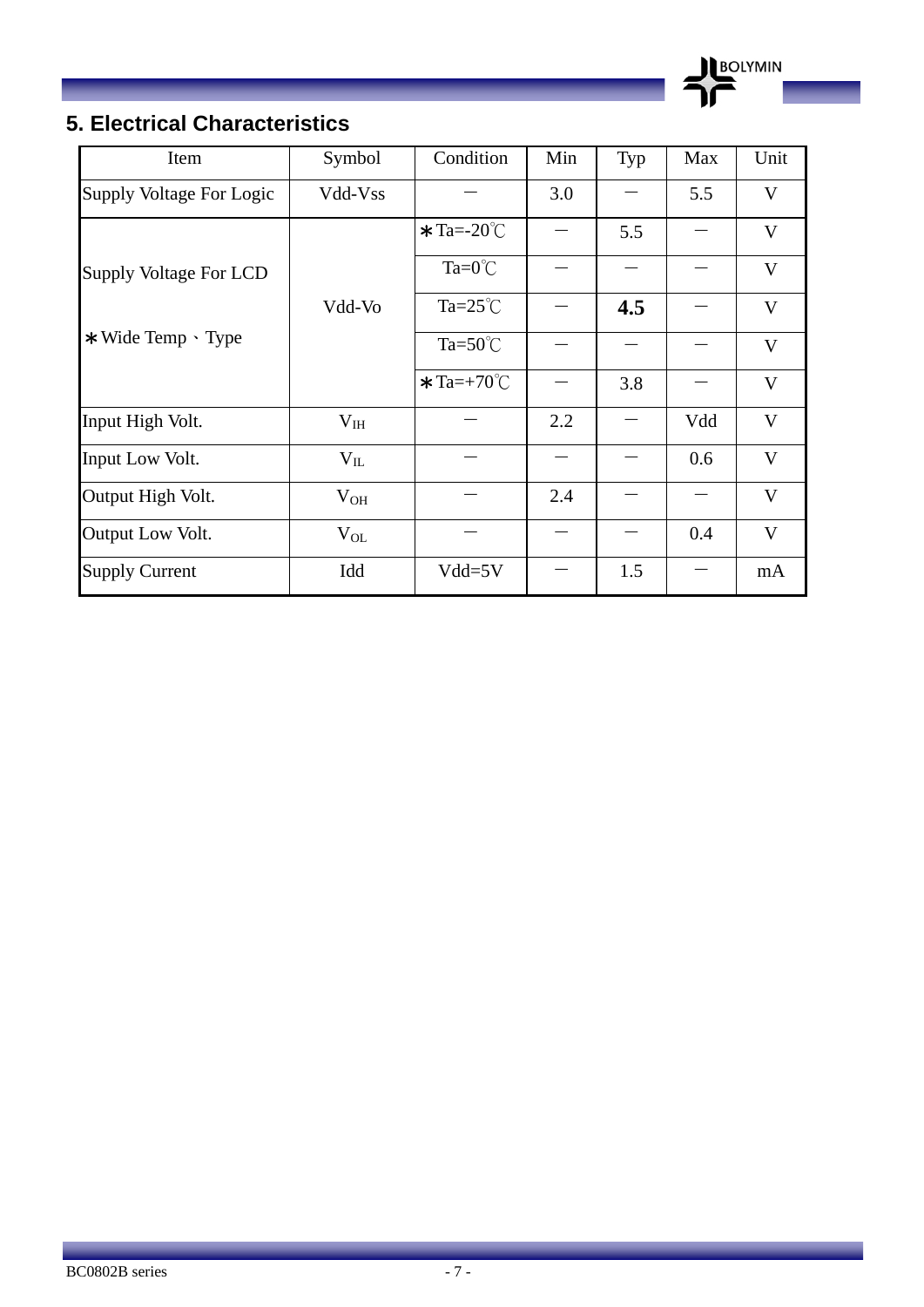

\_\_

### **5. Electrical Characteristics**

| Item                     | Symbol   | Condition                   | Min | Typ | Max | Unit         |
|--------------------------|----------|-----------------------------|-----|-----|-----|--------------|
| Supply Voltage For Logic | Vdd-Vss  |                             | 3.0 |     | 5.5 | V            |
|                          |          | $\star$ Ta=-20 $\degree$ C  |     | 5.5 |     | V            |
| Supply Voltage For LCD   |          | $Ta=0^{\circ}C$             |     |     |     | $\mathbf{V}$ |
|                          | Vdd-Vo   | $Ta = 25^{\circ}C$          |     | 4.5 |     | V            |
| *Wide Temp 、Type         |          | Ta= $50^{\circ}$ C          |     |     |     | $\mathbf{V}$ |
|                          |          | $\star$ Ta=+70 $^{\circ}$ C |     | 3.8 |     | V            |
| Input High Volt.         | $V_{IH}$ |                             | 2.2 |     | Vdd | V            |
| Input Low Volt.          | $V_{IL}$ |                             |     |     | 0.6 | $\mathbf{V}$ |
| Output High Volt.        | $V_{OH}$ |                             | 2.4 |     |     | V            |
| Output Low Volt.         | $V_{OL}$ |                             |     |     | 0.4 | V            |
| <b>Supply Current</b>    | Idd      | $Vdd = 5V$                  |     | 1.5 |     | mA           |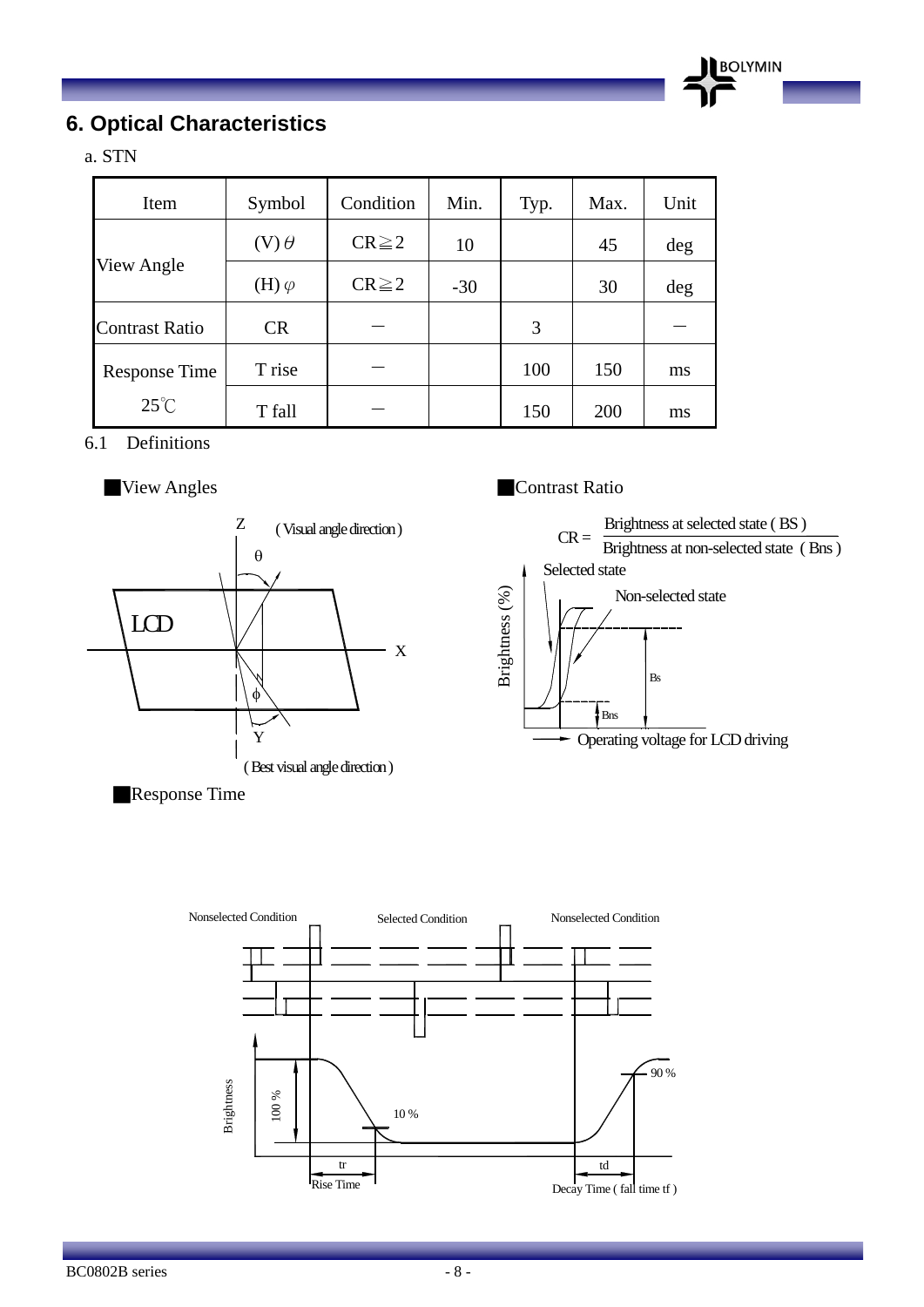

### **6. Optical Characteristics**

a. STN

| Item                  | Symbol         | Condition   | Min.  | Typ. | Max. | Unit |
|-----------------------|----------------|-------------|-------|------|------|------|
|                       | $(V)$ $\theta$ | $CR \geq 2$ | 10    |      | 45   | deg  |
| View Angle            | (H) $\varphi$  | $CR \geq 2$ | $-30$ |      | 30   | deg  |
| <b>Contrast Ratio</b> | <b>CR</b>      |             |       | 3    |      |      |
| <b>Response Time</b>  | T rise         |             |       | 100  | 150  | ms   |
| $25^{\circ}$ C        | T fall         |             |       | 150  | 200  | ms   |

6.1 Definitions



**Response Time** 

#### ■ View Angles ■ Contrast Ratio



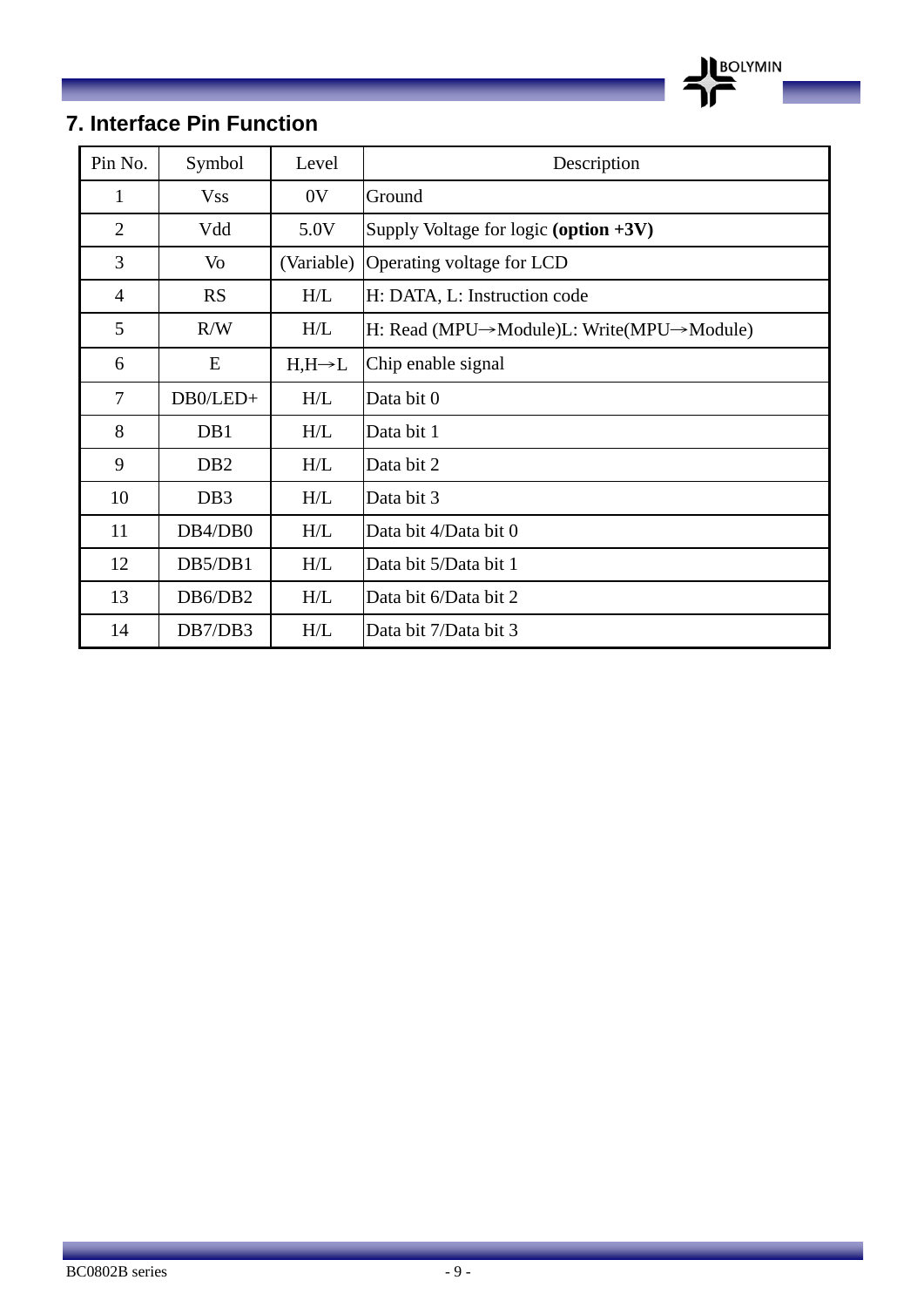

\_\_

### **7. Interface Pin Function**

| Pin No.        | Symbol           | Level              | Description                              |
|----------------|------------------|--------------------|------------------------------------------|
| $\mathbf{1}$   | <b>Vss</b>       | 0 <sup>V</sup>     | Ground                                   |
| $\overline{2}$ | Vdd              | 5.0V               | Supply Voltage for logic (option $+3V$ ) |
| 3              | Vo               | (Variable)         | Operating voltage for LCD                |
| $\overline{4}$ | <b>RS</b>        | H/L                | H: DATA, L: Instruction code             |
| 5              | R/W              | H/L                | H: Read (MPU→Module)L: Write(MPU→Module) |
| 6              | E                | $H,H\rightarrow L$ | Chip enable signal                       |
| 7              | DB0/LED+         | H/L                | Data bit 0                               |
| 8              | DB1              | H/L                | Data bit 1                               |
| 9              | D <sub>B</sub> 2 | H/L                | Data bit 2                               |
| 10             | DB <sub>3</sub>  | H/L                | Data bit 3                               |
| 11             | DB4/DB0          | H/L                | Data bit 4/Data bit 0                    |
| 12             | DB5/DB1          | H/L                | Data bit 5/Data bit 1                    |
| 13             | DB6/DB2          | H/L                | Data bit 6/Data bit 2                    |
| 14             | DB7/DB3          | H/L                | Data bit 7/Data bit 3                    |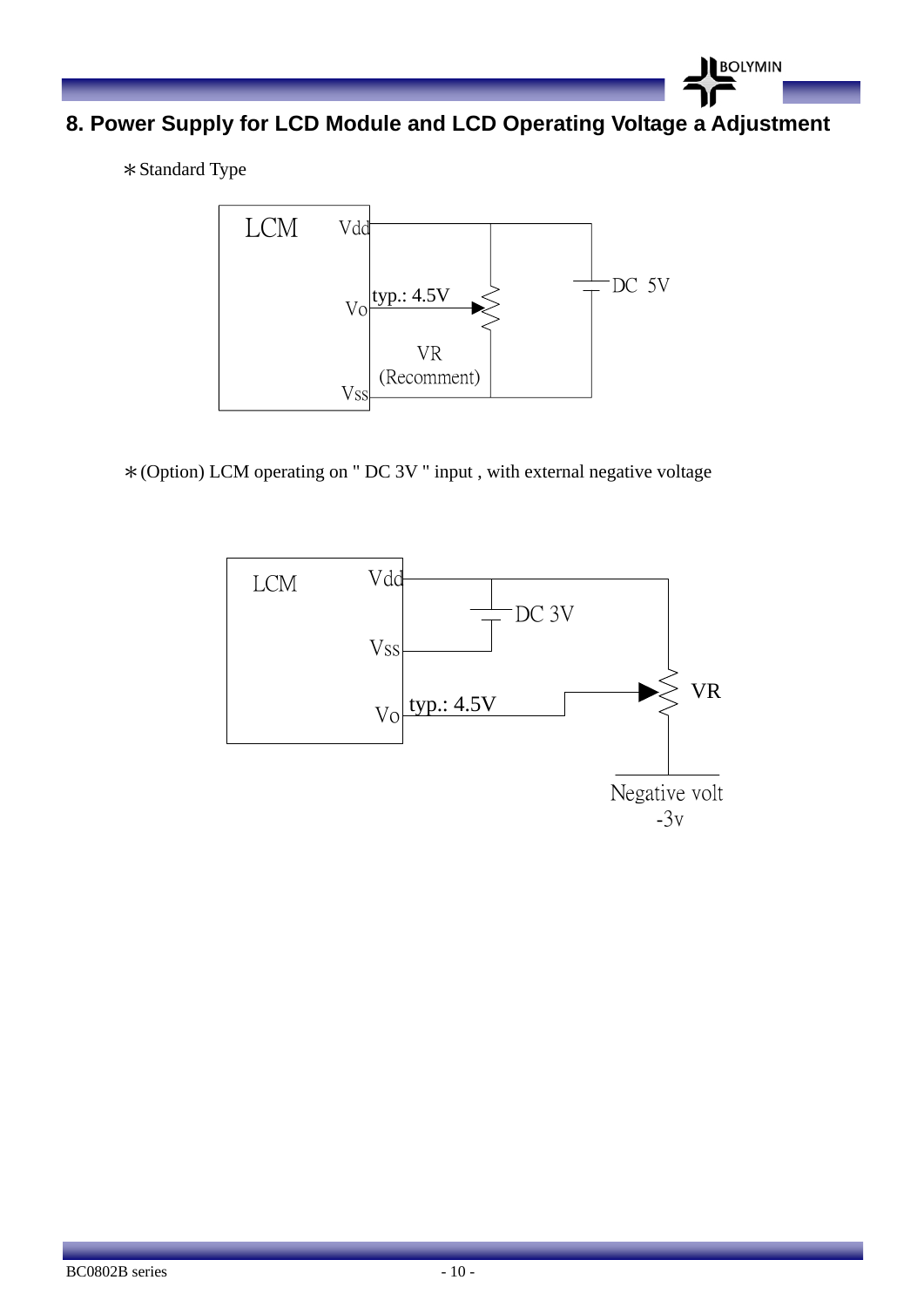

**8. Power Supply for LCD Module and LCD Operating Voltage a Adjustment** 

\*Standard Type



\*(Option) LCM operating on " DC 3V " input , with external negative voltage

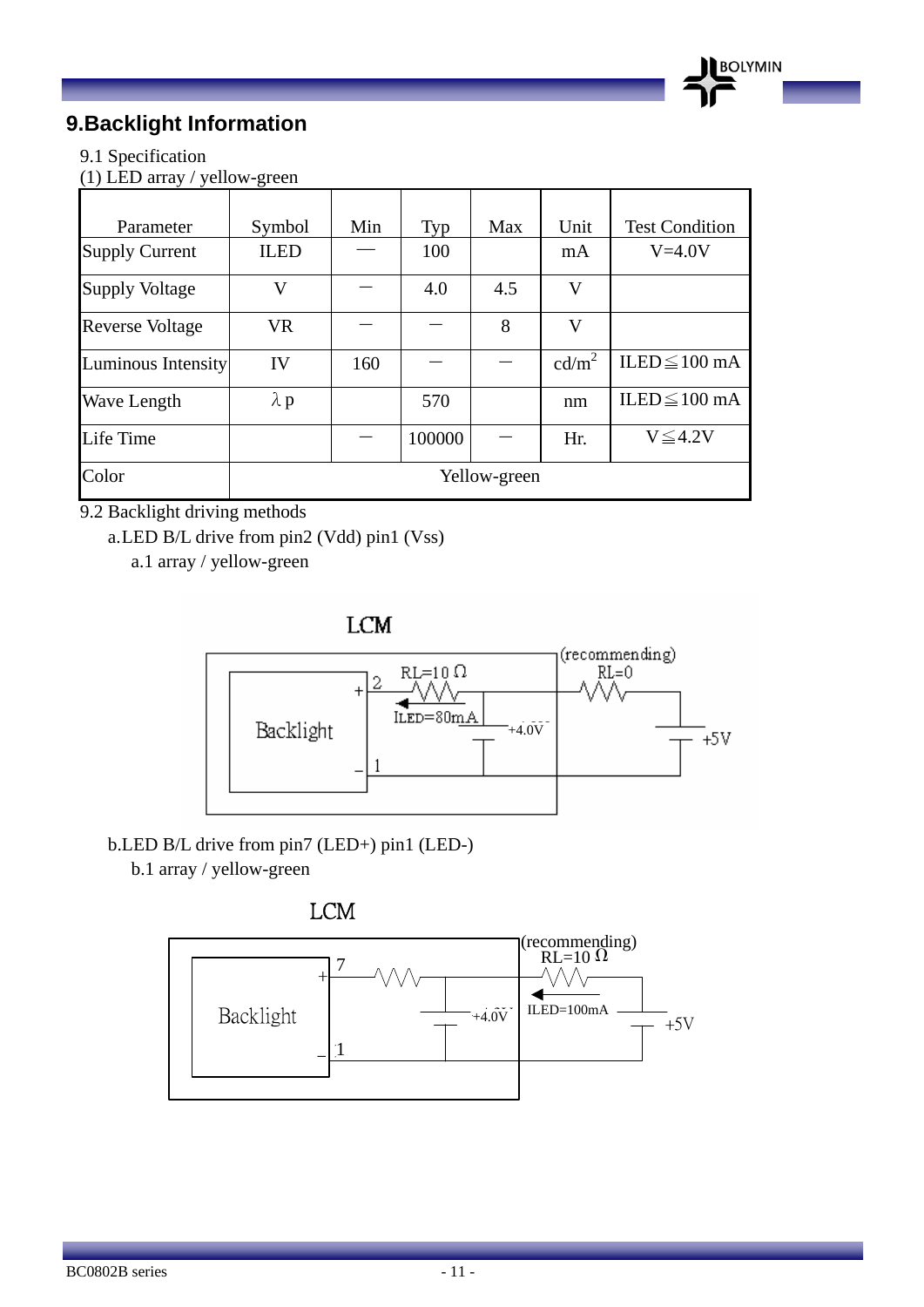

### **9.Backlight Information**

#### 9.1 Specification

(1) LED array / yellow-green

| Parameter              | Symbol       | Min | Typ    | Max | Unit              | <b>Test Condition</b> |
|------------------------|--------------|-----|--------|-----|-------------------|-----------------------|
| <b>Supply Current</b>  | <b>ILED</b>  |     | 100    |     | mA                | $V=4.0V$              |
| <b>Supply Voltage</b>  | V            |     | 4.0    | 4.5 | V                 |                       |
| <b>Reverse Voltage</b> | <b>VR</b>    |     |        | 8   | V                 |                       |
| Luminous Intensity     | IV           | 160 |        |     | cd/m <sup>2</sup> | ILED $\leq$ 100 mA    |
| Wave Length            | $\lambda$ p  |     | 570    |     | nm                | ILED $\leq$ 100 mA    |
| Life Time              |              |     | 100000 |     | Hr.               | $V \leq 4.2V$         |
| Color                  | Yellow-green |     |        |     |                   |                       |

9.2 Backlight driving methods

a.LED B/L drive from pin2 (Vdd) pin1 (Vss)

a.1 array / yellow-green

**LCM** 



b.LED B/L drive from pin7 (LED+) pin1 (LED-)

b.1 array / yellow-green



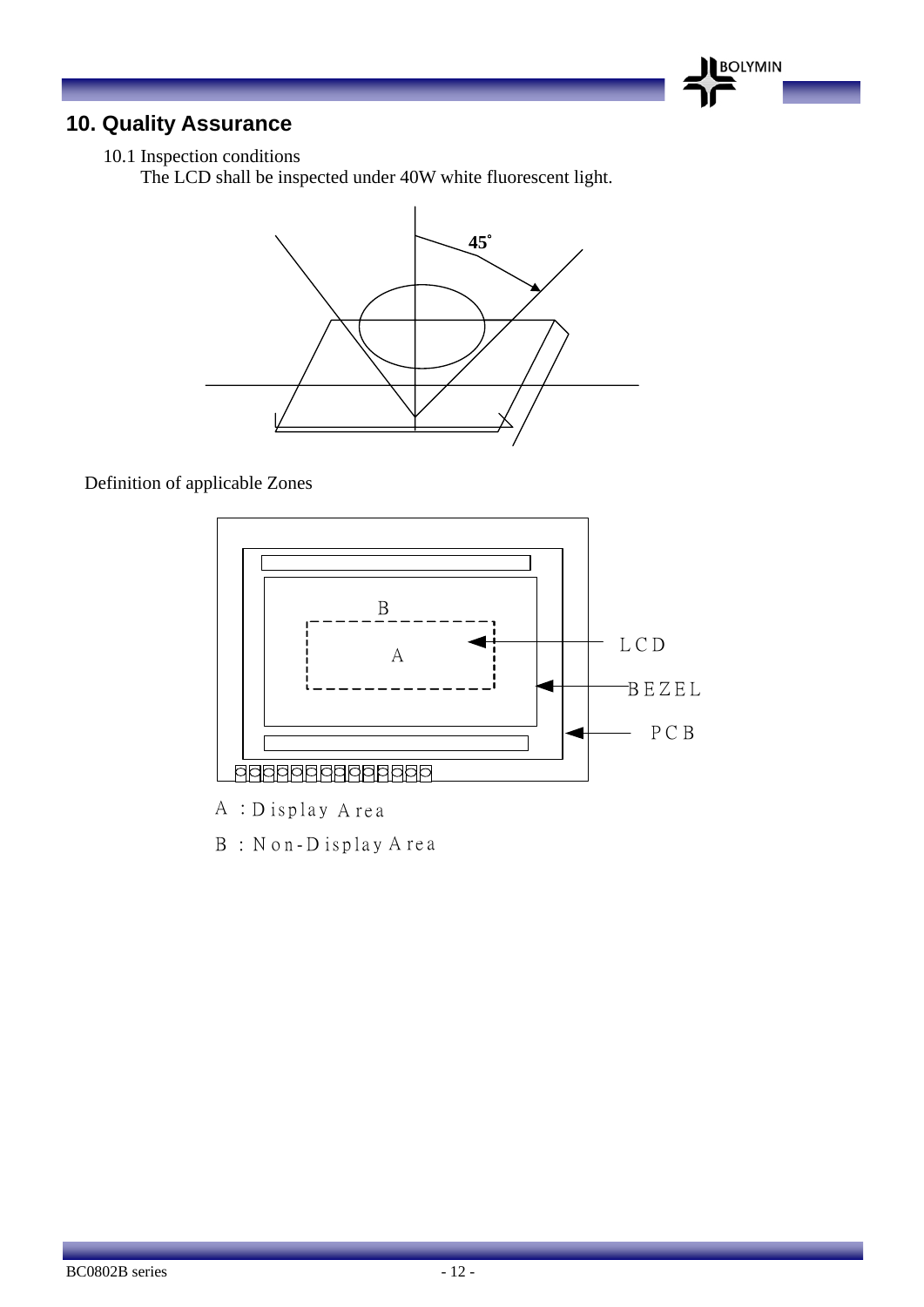### **10. Quality Assurance**

10.1 Inspection conditions

The LCD shall be inspected under 40W white fluorescent light.



**BOLYMIN** 

#### Definition of applicable Zones



A : D isplay A rea

B: Non-Display Area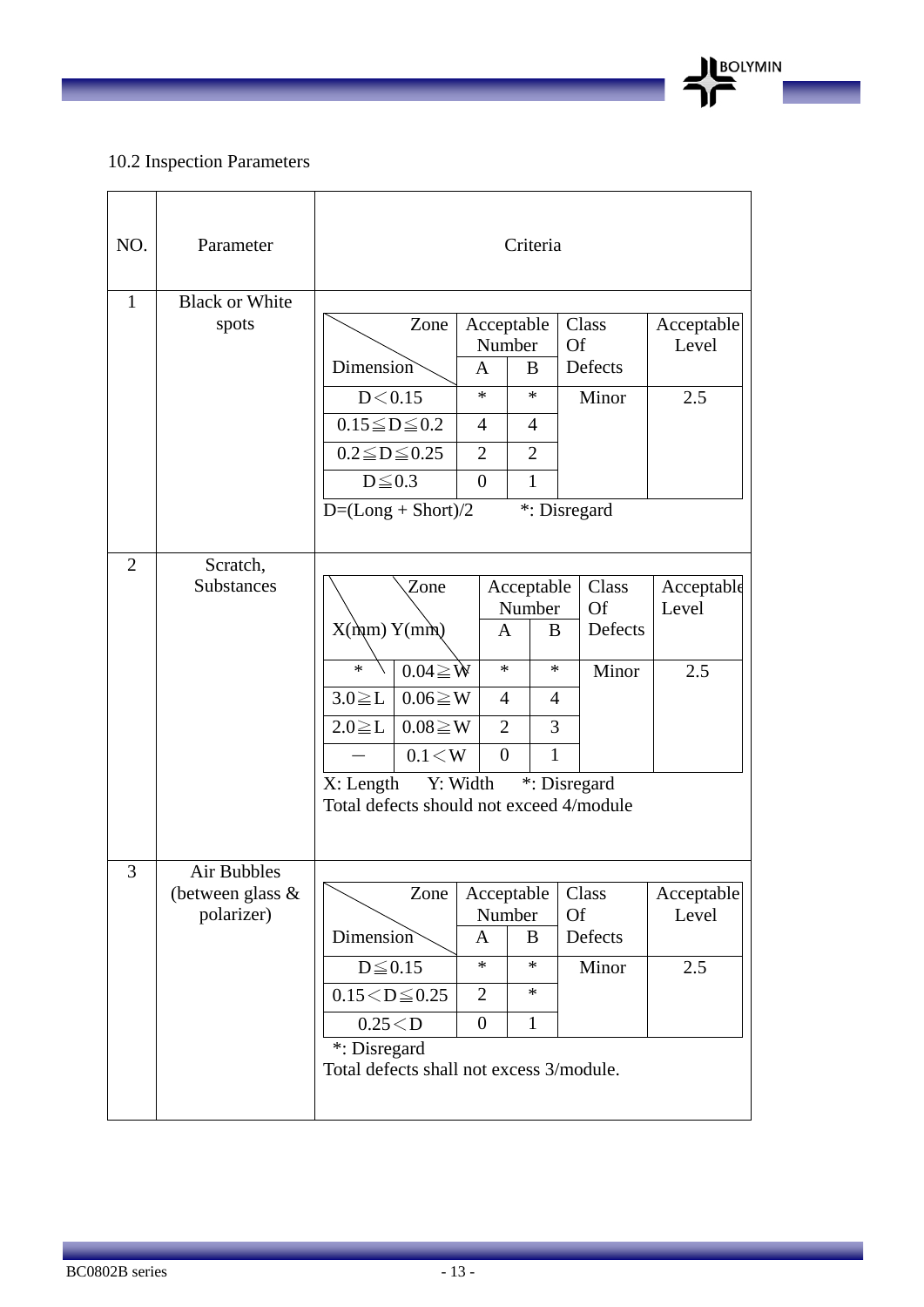#### 10.2 Inspection Parameters

 $\overline{1}$ 

| NO.            | Parameter                                        |                                                                                                                                                                                                       |                                                                               | Criteria                                                                      |                                                        |                            |
|----------------|--------------------------------------------------|-------------------------------------------------------------------------------------------------------------------------------------------------------------------------------------------------------|-------------------------------------------------------------------------------|-------------------------------------------------------------------------------|--------------------------------------------------------|----------------------------|
| $\mathbf{1}$   | <b>Black or White</b><br>spots                   | Zone<br>Dimension<br>D < 0.15<br>$0.15 \leq D \leq 0.2$<br>$0.2 \leq D \leq 0.25$<br>$D \leq 0.3$<br>$D=(Long + Short)/2$                                                                             | Number<br>A<br>$\ast$<br>$\overline{4}$<br>$\overline{2}$<br>$\boldsymbol{0}$ | Acceptable<br>B<br>$\ast$<br>$\overline{4}$<br>$\overline{2}$<br>$\mathbf{1}$ | Class<br><b>Of</b><br>Defects<br>Minor<br>*: Disregard | Acceptable<br>Level<br>2.5 |
| $\overline{2}$ | Scratch,<br><b>Substances</b>                    | Zone<br>$X(\hat{m}) Y(m\hat{m})$<br>$\ast$<br>$0.04 \geq W$<br>$3.0 \geq L$<br>$0.06 \geq W$<br>$2.0 \geq L$<br>$0.08 \geq W$<br>$0.1\!<\!W$<br>X: Length<br>Total defects should not exceed 4/module | A<br>$\ast$<br>$\overline{4}$<br>$\overline{2}$<br>$\theta$<br>Y: Width       | Acceptable<br>Number<br>B<br>$\ast$<br>4<br>3<br>$\mathbf{1}$                 | Class<br>Of<br>Defects<br>Minor<br>*: Disregard        | Acceptable<br>Level<br>2.5 |
| 3              | Air Bubbles<br>(between glass $\&$<br>polarizer) | Zone<br>Dimension<br>$D \leq 0.15$<br>$0.15 < D \le 0.25$<br>0.25 < D<br>*: Disregard<br>Total defects shall not excess 3/module.                                                                     | Acceptable<br>Number<br>A<br>$\ast$<br>$\overline{2}$<br>$\boldsymbol{0}$     | B<br>$\ast$<br>$\ast$<br>$\mathbf{1}$                                         | Class<br><b>Of</b><br>Defects<br>Minor                 | Acceptable<br>Level<br>2.5 |

BOLYMIN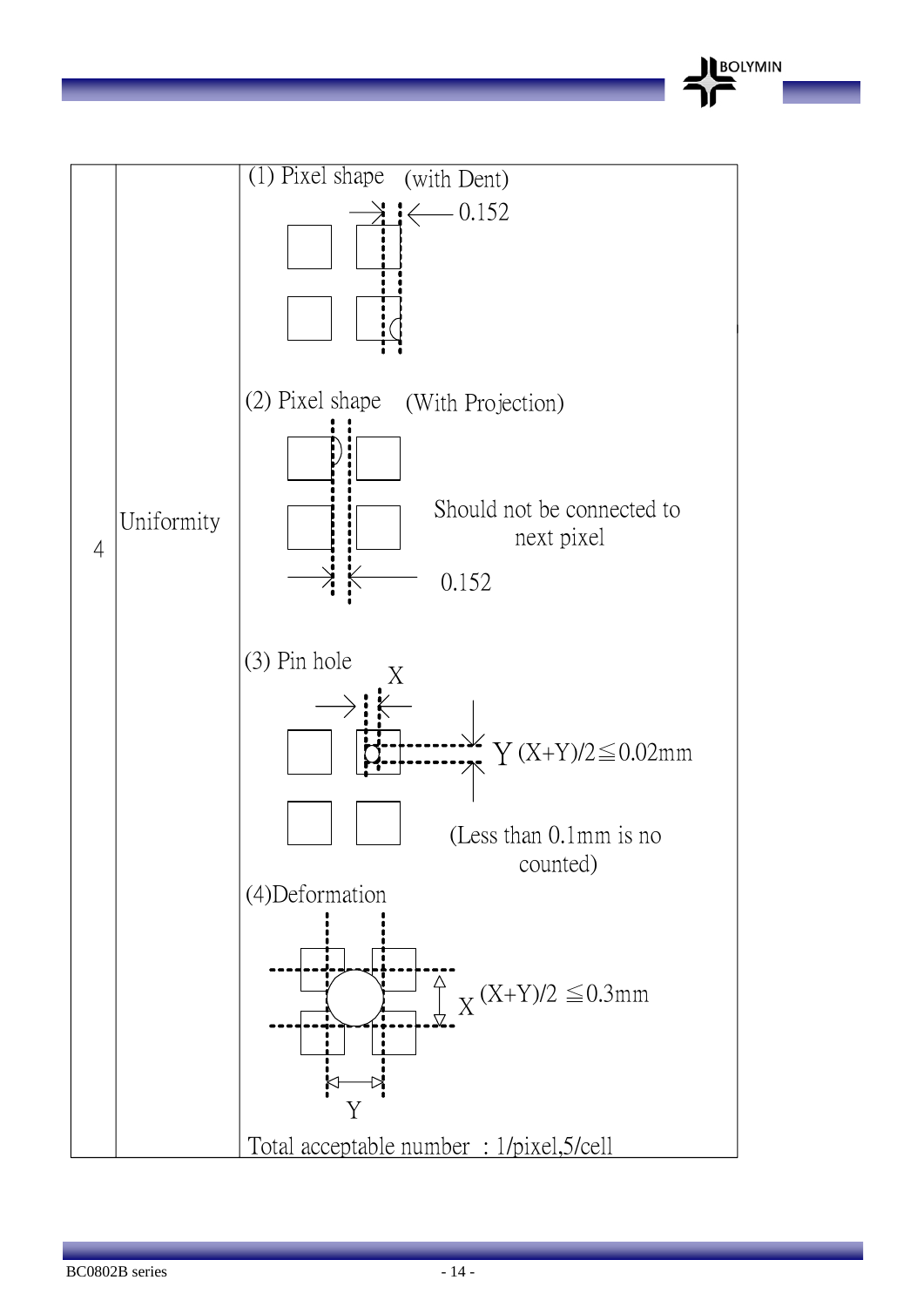

**BOLYMIN**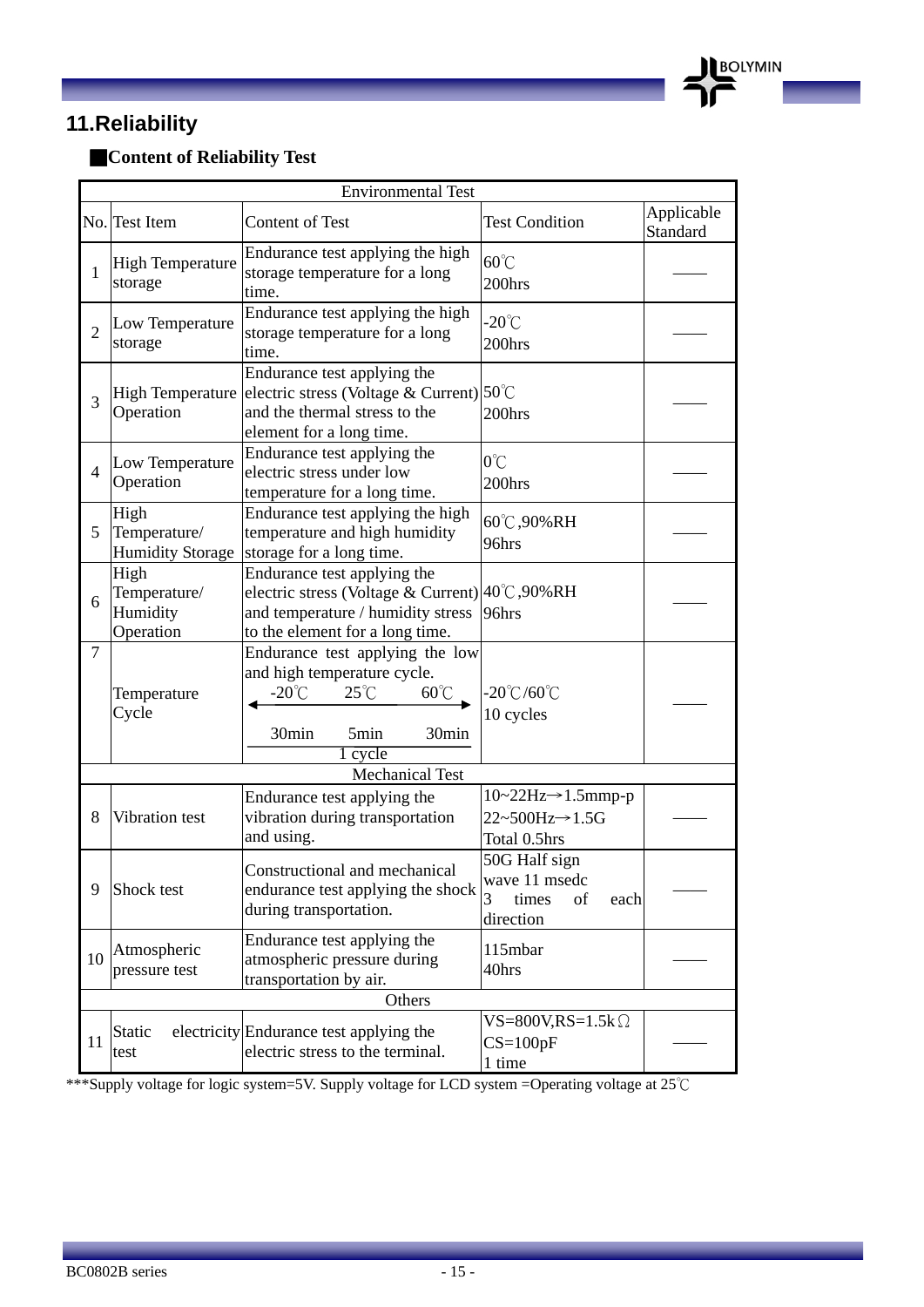### **11.Reliability**

### ■**Content of Reliability Test**

|                | <b>Environmental Test</b>                       |                                                                                                                                                          |                                                                                               |                        |  |  |  |  |  |  |
|----------------|-------------------------------------------------|----------------------------------------------------------------------------------------------------------------------------------------------------------|-----------------------------------------------------------------------------------------------|------------------------|--|--|--|--|--|--|
|                | No. Test Item                                   | Content of Test                                                                                                                                          | <b>Test Condition</b>                                                                         | Applicable<br>Standard |  |  |  |  |  |  |
| 1              | <b>High Temperature</b><br>storage              | Endurance test applying the high<br>storage temperature for a long<br>time.                                                                              | $60^{\circ}$ C<br>200hrs                                                                      |                        |  |  |  |  |  |  |
| $\overline{2}$ | Low Temperature<br>storage                      | Endurance test applying the high<br>storage temperature for a long<br>time.                                                                              | $-20^{\circ}$ C<br>200hrs                                                                     |                        |  |  |  |  |  |  |
| $\overline{3}$ | <b>High Temperature</b><br>Operation            | Endurance test applying the<br>electric stress (Voltage & Current) $50^{\circ}$ C<br>and the thermal stress to the<br>element for a long time.           | 200hrs                                                                                        |                        |  |  |  |  |  |  |
| $\overline{4}$ | Low Temperature<br>Operation                    | Endurance test applying the<br>electric stress under low<br>temperature for a long time.                                                                 | $0^{\circ}$ C<br>200hrs                                                                       |                        |  |  |  |  |  |  |
| 5              | High<br>Temperature/<br><b>Humidity Storage</b> | Endurance test applying the high<br>temperature and high humidity<br>storage for a long time.                                                            | 60°C,90%RH<br>96hrs                                                                           |                        |  |  |  |  |  |  |
| 6              | High<br>Temperature/<br>Humidity<br>Operation   | Endurance test applying the<br>electric stress (Voltage & Current) 40°C, 90% RH<br>and temperature / humidity stress<br>to the element for a long time.  | 96hrs                                                                                         |                        |  |  |  |  |  |  |
| $\overline{7}$ | Temperature<br>Cycle                            | Endurance test applying the low<br>and high temperature cycle.<br>-20 $\degree$ C<br>$25^{\circ}$ C<br>$60^{\circ}$<br>30min<br>5min<br>30min<br>1 cycle | $-20^{\circ}$ C/60 $^{\circ}$ C<br>10 cycles                                                  |                        |  |  |  |  |  |  |
|                |                                                 | <b>Mechanical Test</b>                                                                                                                                   |                                                                                               |                        |  |  |  |  |  |  |
| 8              | Vibration test                                  | Endurance test applying the<br>vibration during transportation<br>and using.                                                                             | $10~22Hz \rightarrow 1.5mmp-p$<br>$22 \sim 500$ Hz $\rightarrow$ 1.5G<br>Total 0.5hrs         |                        |  |  |  |  |  |  |
| 9              | Shock test                                      | Constructional and mechanical<br>endurance test applying the shock<br>during transportation.                                                             | 50G Half sign<br>wave 11 msedc<br>$\overline{\mathbf{3}}$<br>times<br>of<br>each<br>direction |                        |  |  |  |  |  |  |
| 10             | Atmospheric<br>pressure test                    | Endurance test applying the<br>atmospheric pressure during<br>transportation by air.                                                                     | 115mbar<br>40hrs                                                                              |                        |  |  |  |  |  |  |
|                |                                                 | Others                                                                                                                                                   |                                                                                               |                        |  |  |  |  |  |  |
| 11             | Static<br>test                                  | electricity Endurance test applying the<br>electric stress to the terminal.                                                                              | $VS = 800V$ , $RS = 1.5k$ $\Omega$<br>$CS=100pF$<br>1 time                                    |                        |  |  |  |  |  |  |

**BOLYMIN** 

\*\*\*Supply voltage for logic system=5V. Supply voltage for LCD system =Operating voltage at 25℃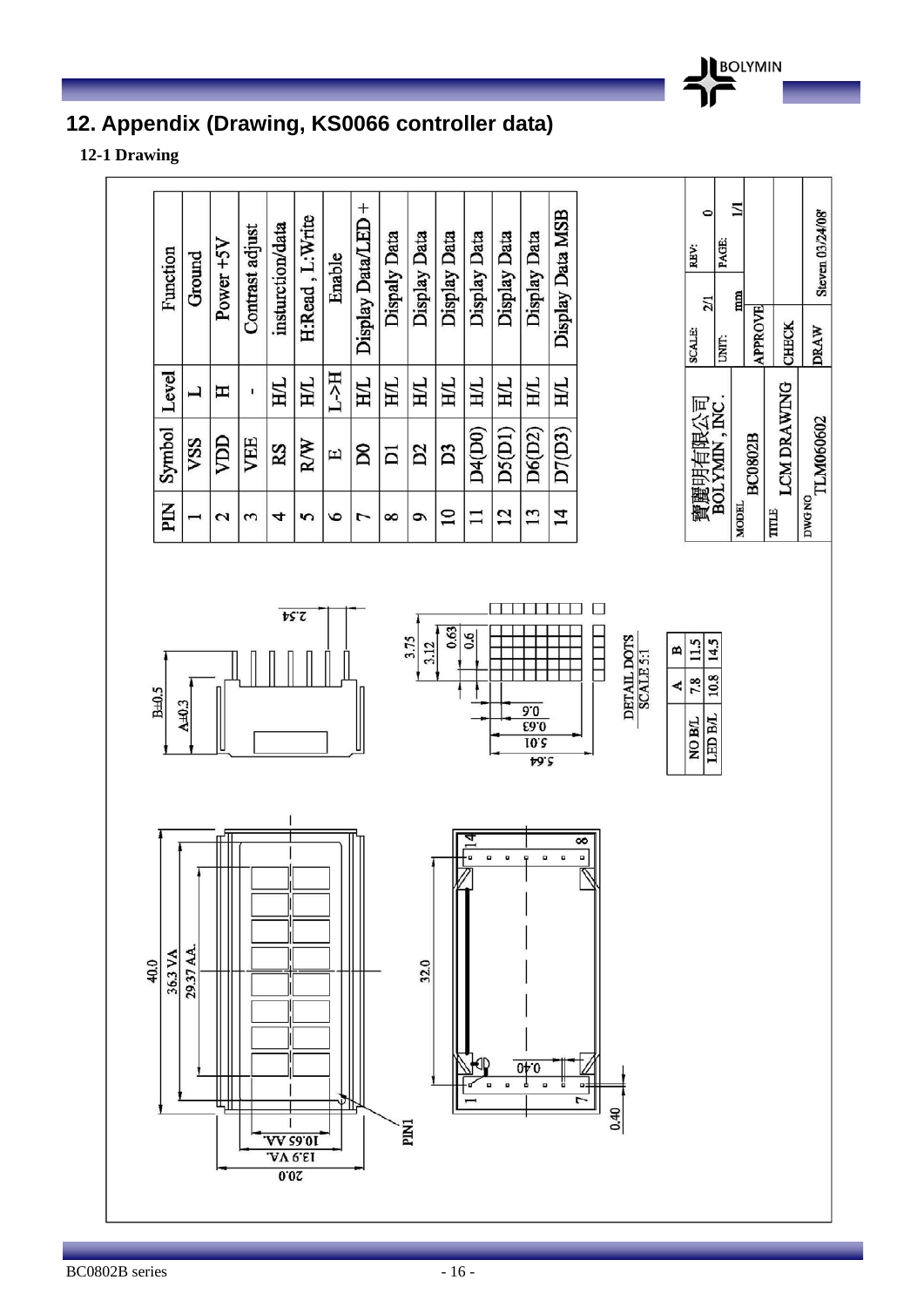

### **12. Appendix (Drawing, KS0066 controller data)**

**12-1 Drawing** 

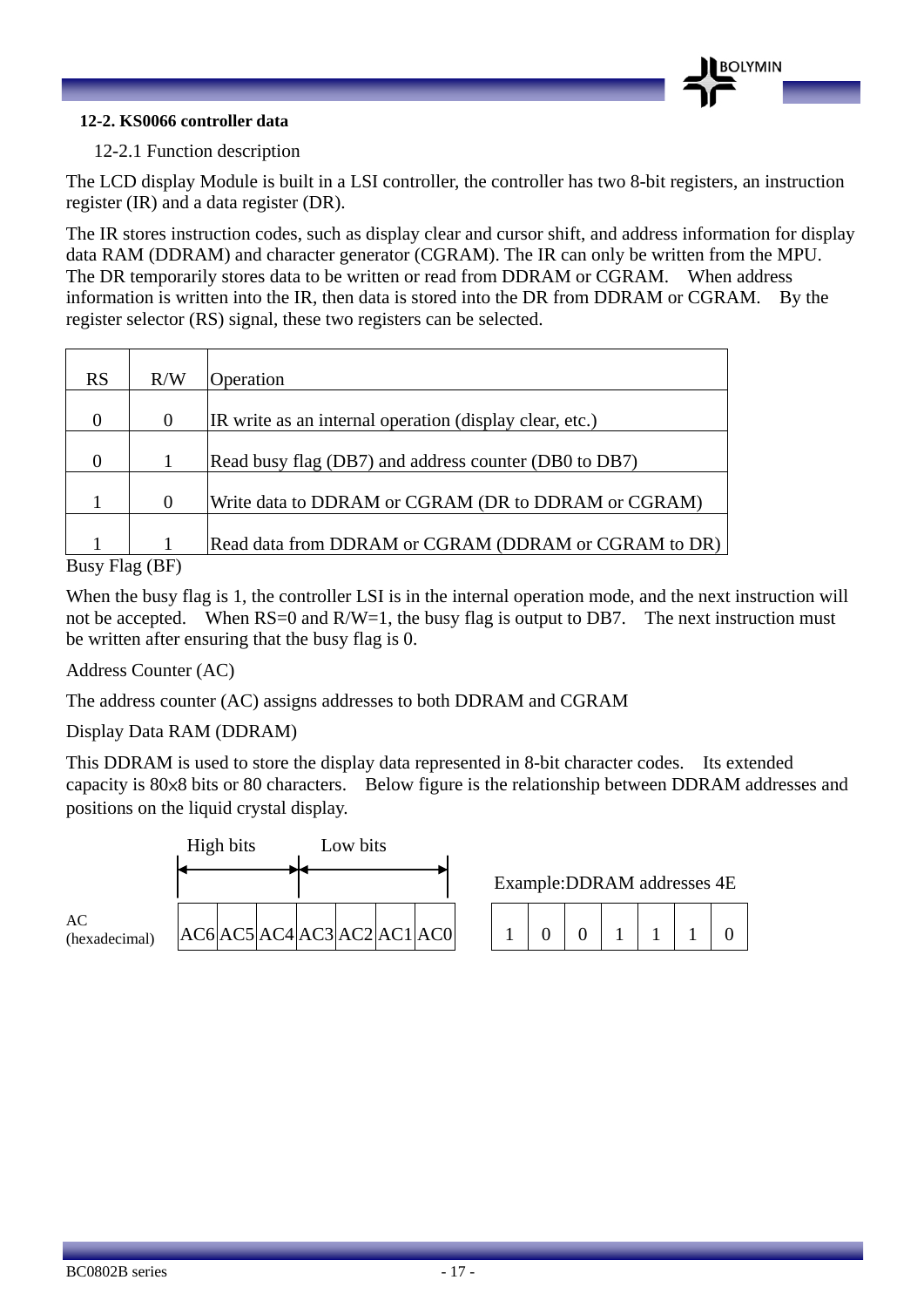#### **12-2. KS0066 controller data**

#### 12-2.1 Function description

The LCD display Module is built in a LSI controller, the controller has two 8-bit registers, an instruction register (IR) and a data register (DR).

The IR stores instruction codes, such as display clear and cursor shift, and address information for display data RAM (DDRAM) and character generator (CGRAM). The IR can only be written from the MPU. The DR temporarily stores data to be written or read from DDRAM or CGRAM. When address information is written into the IR, then data is stored into the DR from DDRAM or CGRAM. By the register selector (RS) signal, these two registers can be selected.

| <b>RS</b> | R/W           | Operation                                               |
|-----------|---------------|---------------------------------------------------------|
|           |               |                                                         |
| $\Omega$  | $\theta$      | IR write as an internal operation (display clear, etc.) |
|           |               |                                                         |
| 0         |               | Read busy flag (DB7) and address counter (DB0 to DB7)   |
|           |               |                                                         |
|           | $\Omega$      | Write data to DDRAM or CGRAM (DR to DDRAM or CGRAM)     |
|           |               |                                                         |
|           |               | Read data from DDRAM or CGRAM (DDRAM or CGRAM to DR)    |
| --        | $\rightarrow$ |                                                         |

Busy Flag (BF)

When the busy flag is 1, the controller LSI is in the internal operation mode, and the next instruction will not be accepted. When  $RS=0$  and  $R/W=1$ , the busy flag is output to DB7. The next instruction must be written after ensuring that the busy flag is 0.

Address Counter (AC)

The address counter (AC) assigns addresses to both DDRAM and CGRAM

Display Data RAM (DDRAM)

This DDRAM is used to store the display data represented in 8-bit character codes. Its extended capacity is 80×8 bits or 80 characters. Below figure is the relationship between DDRAM addresses and positions on the liquid crystal display.



Example:DDRAM addresses 4E

|  | 100111 |  |  |
|--|--------|--|--|
|  |        |  |  |

**OLYMIN**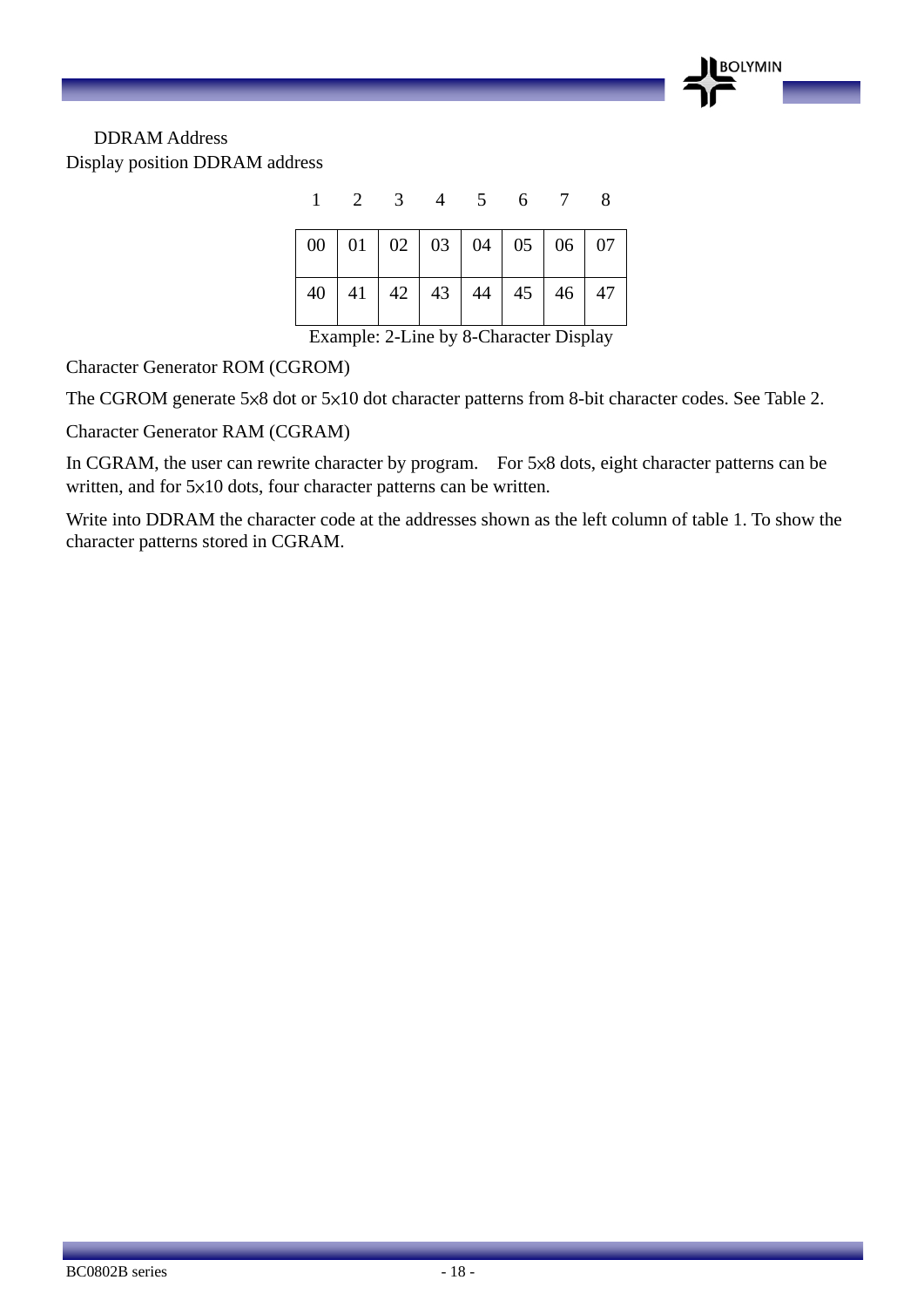

#### DDRAM Address Display position DDRAM address

| 00   01   02   03   04   05   06   07 |  |                                       |  |  |
|---------------------------------------|--|---------------------------------------|--|--|
|                                       |  | 40   41   42   43   44   45   46   47 |  |  |

Example: 2-Line by 8-Character Display

Character Generator ROM (CGROM)

The CGROM generate 5×8 dot or 5×10 dot character patterns from 8-bit character codes. See Table 2.

Character Generator RAM (CGRAM)

In CGRAM, the user can rewrite character by program. For 5×8 dots, eight character patterns can be written, and for 5×10 dots, four character patterns can be written.

Write into DDRAM the character code at the addresses shown as the left column of table 1. To show the character patterns stored in CGRAM.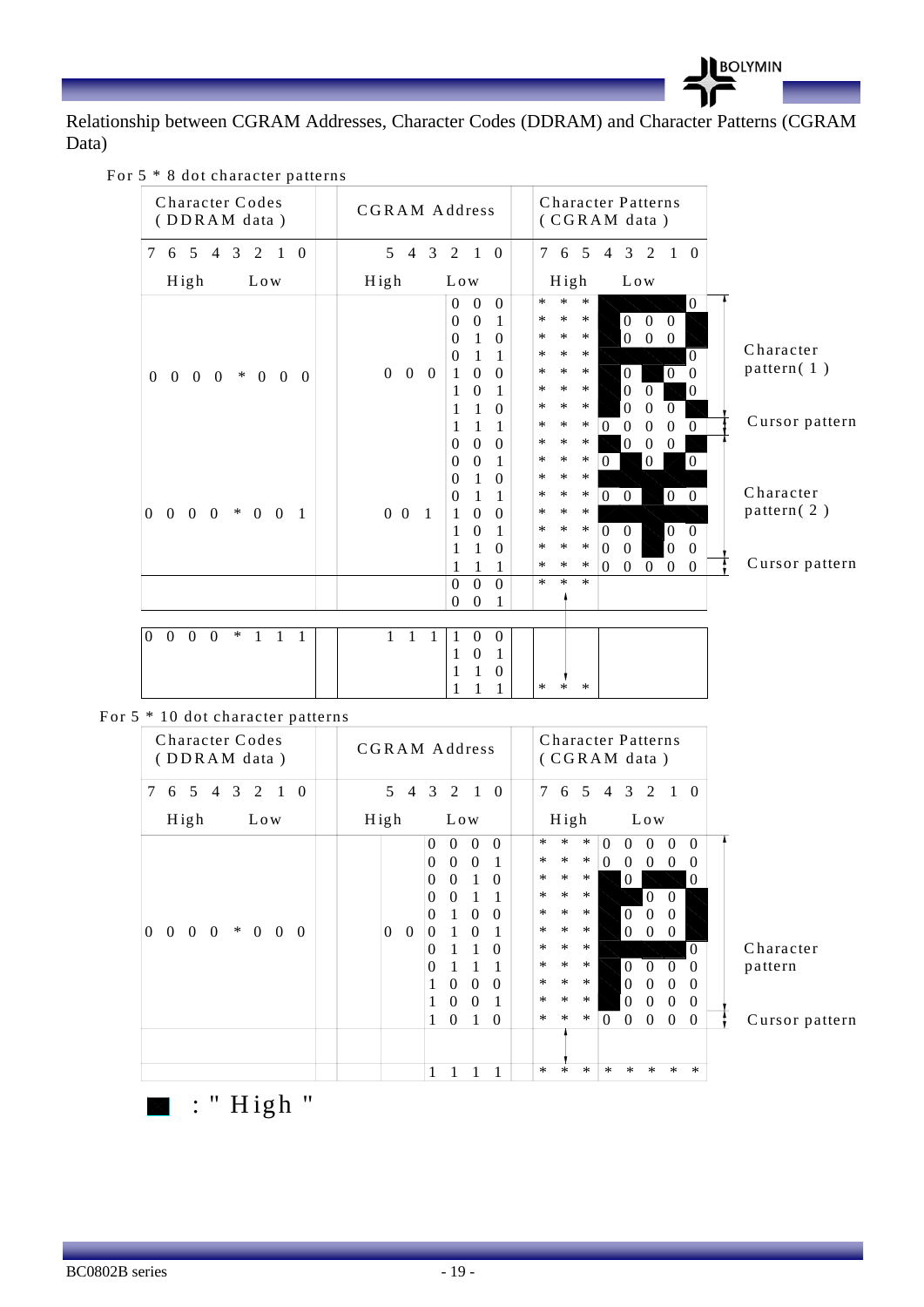

Relationship between CGRAM Addresses, Character Codes (DDRAM) and Character Patterns (CGRAM Data)

| For 5 * 8 dot character patterns |  |  |  |  |  |  |  |
|----------------------------------|--|--|--|--|--|--|--|
|----------------------------------|--|--|--|--|--|--|--|

| Character Codes<br>(DDRAM data)                                                                                   | CGRAM Address                                                                                                                                                                                                                                                                               | <b>Character Patterns</b><br>(CGRAM data)                                                                                                                                                                                                                                                                                                                                                                                                                                                                                                                                                                                                   |                                              |
|-------------------------------------------------------------------------------------------------------------------|---------------------------------------------------------------------------------------------------------------------------------------------------------------------------------------------------------------------------------------------------------------------------------------------|---------------------------------------------------------------------------------------------------------------------------------------------------------------------------------------------------------------------------------------------------------------------------------------------------------------------------------------------------------------------------------------------------------------------------------------------------------------------------------------------------------------------------------------------------------------------------------------------------------------------------------------------|----------------------------------------------|
| $\tau$<br>$\overline{5}$<br>$\overline{4}$<br>3<br>2<br>6<br>$\overline{1}$<br>$\Omega$                           | $\overline{4}$<br>3<br>2<br>$\mathfrak{H}$<br>$\overline{1}$<br>$\theta$                                                                                                                                                                                                                    | $\tau$<br>6 5<br>$\overline{4}$<br>3<br>2<br>$1\quad 0$                                                                                                                                                                                                                                                                                                                                                                                                                                                                                                                                                                                     |                                              |
| High<br>Low                                                                                                       | High<br>Low                                                                                                                                                                                                                                                                                 | High<br>Low                                                                                                                                                                                                                                                                                                                                                                                                                                                                                                                                                                                                                                 |                                              |
| $0\quad 0\quad 0\quad 0$<br>$* 0 0 0$                                                                             | $\Omega$<br>$\Omega$<br>$\Omega$<br>$\theta$<br>$\overline{0}$<br>1<br>$\Omega$<br>1<br>$\theta$<br>$\Omega$<br>1<br>1<br>$0\quad 0\quad 0$<br>1<br>$\overline{0}$<br>$\Omega$<br>$\Omega$<br>1<br>1<br>1<br>1<br>$\Omega$<br>1<br>1<br>1<br>$\boldsymbol{0}$<br>$\theta$<br>$\overline{0}$ | $\ast$<br>$\ast$<br>$\mathbf{0}$<br>$\ast$<br>$\boldsymbol{0}$<br>∗<br>∗<br>$\ast$<br>$\Omega$<br>$\theta$<br>$\overline{0}$<br>$\ast$<br>$\ast$<br>∗<br>$\boldsymbol{0}$<br>$\mathbf{0}$<br>$\ast$<br>$\ast$<br>$\ast$<br>$\Omega$<br>$\ast$<br>$\overline{0}$<br>$\ast$<br>∗<br>$\mathbf{0}$<br>$\Omega$<br>$\ast$<br>$\ast$<br>$\ast$<br>$\boldsymbol{0}$<br>$\Omega$<br>$\Omega$<br>$\ast$<br>$\ast$<br>$\mathbf{0}$<br>∗<br>$\theta$<br>$\overline{0}$<br>$\ast$<br>$\ast$<br>$\ast$<br>$\Omega$<br>$\Omega$<br>$\mathbf{0}$<br>$\Omega$<br>$\Omega$<br>$\ast$<br>$\ast$<br>$\ast$<br>$\boldsymbol{0}$<br>$\mathbf{0}$<br>$\mathbf{0}$ | Character<br>pattern $(1)$<br>Cursor pattern |
| $0\quad 0$<br>$\overline{0}$<br>$* 0 0$<br>$\overline{0}$<br>$\overline{1}$                                       | $\boldsymbol{0}$<br>$\theta$<br>1<br>1<br>$\theta$<br>$\overline{0}$<br>1<br>$\Omega$<br>1<br>$0\quad 0$<br>$\overline{1}$<br>$\mathbf{1}$<br>$\mathbf{0}$<br>$\theta$<br>$\theta$<br>1<br>1<br>$\Omega$<br>1<br>1<br>1<br>1<br>$\overline{0}$<br>$\Omega$<br>$\Omega$                      | $\ast$<br>$\ast$<br>$\ast$<br>$\boldsymbol{0}$<br>$\mathbf{0}$<br>$\Omega$<br>$\ast$<br>$\ast$<br>$\ast$<br>$\vert 0 \vert$<br>$\ast$<br>$\ast$<br>∗<br>$0\quad 0$<br>$\overline{0}$<br>$\ast$<br>$\ast$<br>$\ast$<br>$\ast$<br>$\ast$<br>$\boldsymbol{0}$<br>$\ast$<br>$\Omega$<br>$\overline{0}$<br>$\Omega$<br>$\boldsymbol{0}$<br>$\ast$<br>$\ast$<br>$\ast$<br>$\Omega$<br>$\theta$<br>$\Omega$<br>$\ast$<br>$\ast$<br>$\ast$<br>$\boldsymbol{0}$<br>$\boldsymbol{0}$<br>$\overline{0}$<br>$\mathbf{0}$<br>$\theta$<br>$\ast$<br>$\ast$<br>$\ast$                                                                                      | Character<br>pattern $(2)$<br>Cursor pattern |
|                                                                                                                   | $\theta$<br>$\Omega$<br>1                                                                                                                                                                                                                                                                   |                                                                                                                                                                                                                                                                                                                                                                                                                                                                                                                                                                                                                                             |                                              |
| $\boldsymbol{0}$<br>$\mathbf{0}$<br>$\boldsymbol{0}$<br>$\ast$<br>$\Omega$<br>$\mathbf{1}$<br>$\overline{1}$<br>1 | $\mathbf{0}$<br>1<br>1<br>1<br>1<br>$\overline{0}$<br>$\theta$<br>1<br>1<br>$\theta$<br>1<br>1                                                                                                                                                                                              | $\ast$<br>*<br>$\ast$                                                                                                                                                                                                                                                                                                                                                                                                                                                                                                                                                                                                                       |                                              |

For 5 \* 10 dot character patterns

| x<br>Character Codes<br>(DDRAM data)                                                             | <b>CGRAM Address</b>                            | Character Patterns<br>(CGRAM data)                                                     |
|--------------------------------------------------------------------------------------------------|-------------------------------------------------|----------------------------------------------------------------------------------------|
| 7<br>5<br>3<br>$\theta$<br>$\overline{4}$<br>2<br>6<br>$\mathbf{1}$                              | 5<br>3 2 1<br>$\overline{4}$<br>$\overline{0}$  | $\overline{7}$<br>5<br>4 3 2<br>$\theta$<br>6<br>-1                                    |
| High<br>Low                                                                                      | High<br>Low                                     | High<br>Low                                                                            |
|                                                                                                  | $\Omega$<br>$\Omega$<br>$\Omega$<br>$\Omega$    | $\ast$<br>$\ast$<br>$\ast$<br>$\Omega$<br>$\Omega$<br>$\Omega$<br>0<br>0               |
|                                                                                                  | $\Omega$<br>$\Omega$<br>0<br>1                  | $\ast$<br>$\ast$<br>$\ast$<br>$\Omega$<br>$\Omega$<br>$\Omega$<br>$\Omega$<br>$\Omega$ |
|                                                                                                  | $\Omega$<br>1<br>$\Omega$<br>$\theta$           | $\ast$<br>$\ast$<br>$\ast$<br>$\Omega$<br>$\theta$                                     |
|                                                                                                  | $\Omega$<br>$\mathbf{1}$<br>0<br>$\overline{1}$ | $\ast$<br>$\ast$<br>$\ast$<br>$\Omega$<br>$\theta$                                     |
|                                                                                                  | 1<br>$\theta$<br>0<br>$\Omega$                  | $\ast$<br>$\ast$<br>$\ast$<br>$\theta$<br>$\theta$<br>$\theta$                         |
| $\ast$<br>$\Omega$<br>$\Omega$<br>$\theta$<br>$\Omega$<br>$\theta$<br>$\overline{0}$<br>$\theta$ | $\theta$<br>$\mathbf{0}$<br>$\theta$<br>0       | $\ast$<br>$\ast$<br>$\ast$<br>$\Omega$<br>$\Omega$<br>$\theta$                         |
|                                                                                                  | 1<br>1<br>$\Omega$<br>$\Omega$                  | $\ast$<br>$\ast$<br>$\ast$<br>$\Omega$                                                 |
|                                                                                                  | 1<br>0<br>1                                     | $\ast$<br>$\ast$<br>$\ast$<br>$\Omega$<br>$\Omega$<br>$\Omega$<br>$\Omega$             |
|                                                                                                  | $\Omega$<br>$\Omega$<br>$\Omega$<br>1           | $\ast$<br>$\ast$<br>$\ast$<br>$\Omega$<br>$\theta$<br>$\theta$<br>$\Omega$             |
|                                                                                                  | $\theta$<br>$\Omega$<br>1                       | $\ast$<br>$\ast$<br>$\ast$<br>$\Omega$<br>$\Omega$<br>$\Omega$<br>$\theta$             |
|                                                                                                  | $\Omega$<br>$\Omega$<br>1<br>1                  | $\ast$<br>$\ast$<br>$\ast$<br>$\Omega$<br>0<br>$\Omega$<br>$\Omega$<br>$\theta$        |
|                                                                                                  |                                                 |                                                                                        |
|                                                                                                  | 1                                               | $\ast$<br>$\ast$<br>$\ast$<br>$\ast$<br>$\ast$<br>$\ast$<br>$\ast$<br>$\ast$           |

Character pattern

Cursor pattern

 $\blacksquare$ : "High "

I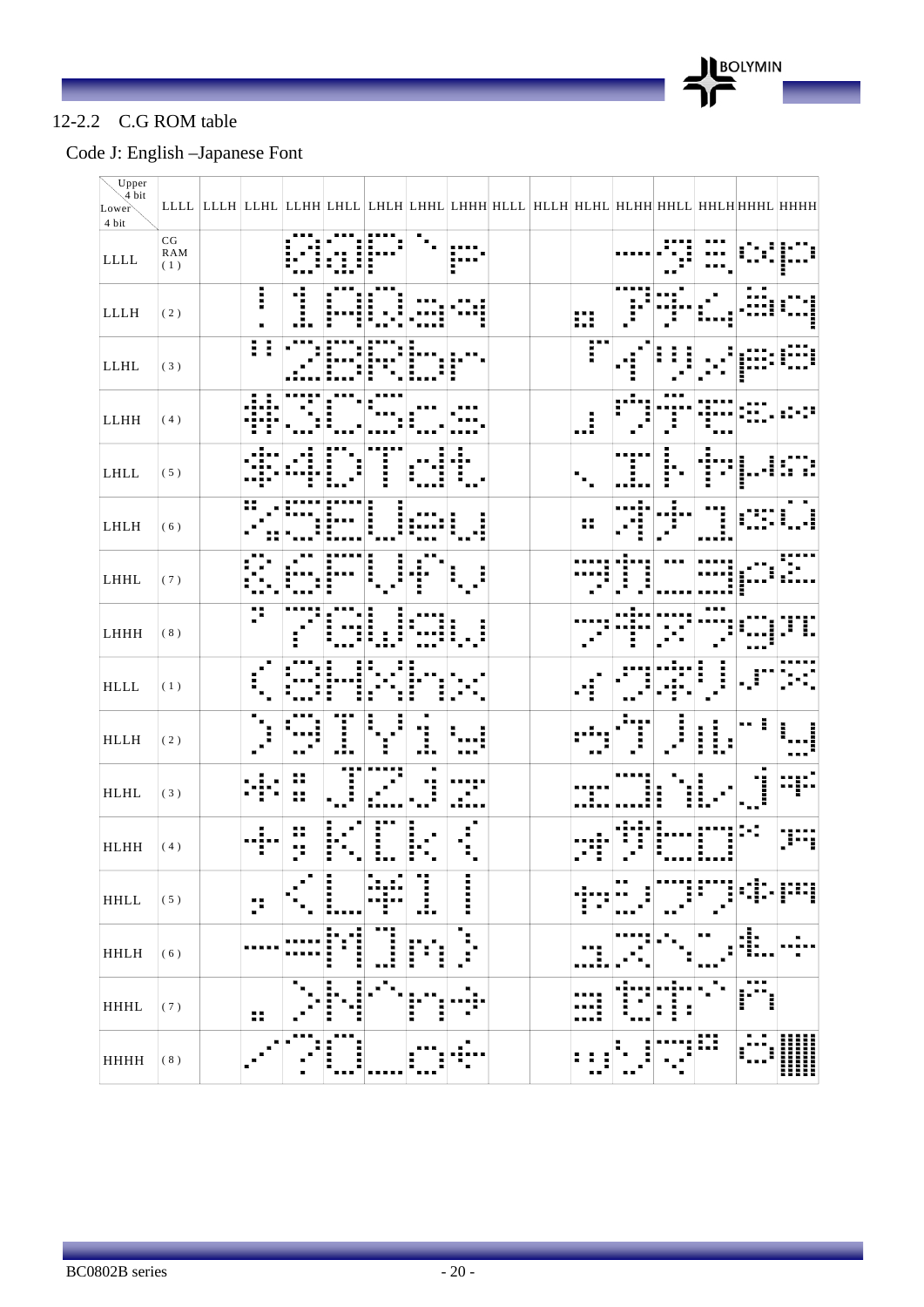

#### 12-2.2 C.G ROM table

### Code J: English –Japanese Font

| Upper<br>$\sqrt{\frac{4}{4}}$ bit |                                                                |    |                    |   |             |        |                                                                                           |    |     |        |   |                     |        |
|-----------------------------------|----------------------------------------------------------------|----|--------------------|---|-------------|--------|-------------------------------------------------------------------------------------------|----|-----|--------|---|---------------------|--------|
| Lower<br>4 bit                    |                                                                |    |                    |   |             |        | LLLL  LLLH  LLHL  LLHH LHLL  LHLH LHHL  LHHH HLLL  HLLH  HLHL  HLHH HHLL  HHLH HHHL  HHHH |    |     |        |   |                     |        |
| $\mbox{LLL}$                      | $\begin{array}{c} \rm{CG} \\ \rm{RAM} \\ \rm{(1)} \end{array}$ |    |                    |   |             |        |                                                                                           |    |     |        |   |                     |        |
| ${\rm LLLH}$                      | $(\,2\,)$                                                      | I  |                    |   |             |        |                                                                                           | m  |     |        |   |                     |        |
| ${\rm LLHL}$                      | $(\sqrt{3}$ )                                                  | 0  |                    |   |             |        |                                                                                           | F  |     |        |   |                     |        |
| ${\rm LLHH}$                      | $(\,4\,)$                                                      |    |                    |   |             |        |                                                                                           | .! |     |        |   |                     |        |
| $\mbox{LHLL}$                     | $(\;5\;)$                                                      |    |                    |   |             |        |                                                                                           |    |     |        |   |                     |        |
| LHLH                              | $(\,6\,)$                                                      |    |                    |   |             |        |                                                                                           | н  |     |        |   |                     |        |
| LHHL                              | (7)                                                            |    |                    |   |             |        |                                                                                           |    |     |        |   |                     |        |
| LHHH                              | $(\ 8$ )                                                       |    |                    |   |             |        |                                                                                           |    |     |        |   |                     |        |
| $\operatorname{HLLL}$             | $(\,1\,)$                                                      |    |                    |   |             |        |                                                                                           |    |     |        |   |                     |        |
| ${\rm HLLH}$                      | $(\,2\,)$                                                      |    |                    |   | .е          |        |                                                                                           |    |     |        |   |                     |        |
| $\operatorname{HLHL}$             | $(\sqrt{3}$ )                                                  |    |                    |   |             |        |                                                                                           |    |     |        |   |                     |        |
| <b>HLHH</b>                       | $(4)$                                                          |    |                    |   |             |        |                                                                                           |    |     |        |   |                     |        |
| <b>HHLL</b>                       | $(\;5\;)$                                                      | p  | l<br>ш             |   | I           | ::::   |                                                                                           |    | . . |        |   |                     |        |
| <b>HHLH</b>                       | $(6)$                                                          |    | Б<br>i<br>:::<br>E | . | E<br>E<br>ĺ | п<br>п |                                                                                           |    |     |        |   | Е<br>$\blacksquare$ |        |
| HHHL                              | $(\;7\;)$                                                      | 88 | i<br>i             |   | I<br>i      |        |                                                                                           |    |     | Ī<br>F |   | ---                 |        |
| HHHH                              | $(\ 8$ )                                                       |    | Ē                  |   | Η           |        |                                                                                           | ., |     |        | ₩ | ш<br>Н              | Ⅲ<br>H |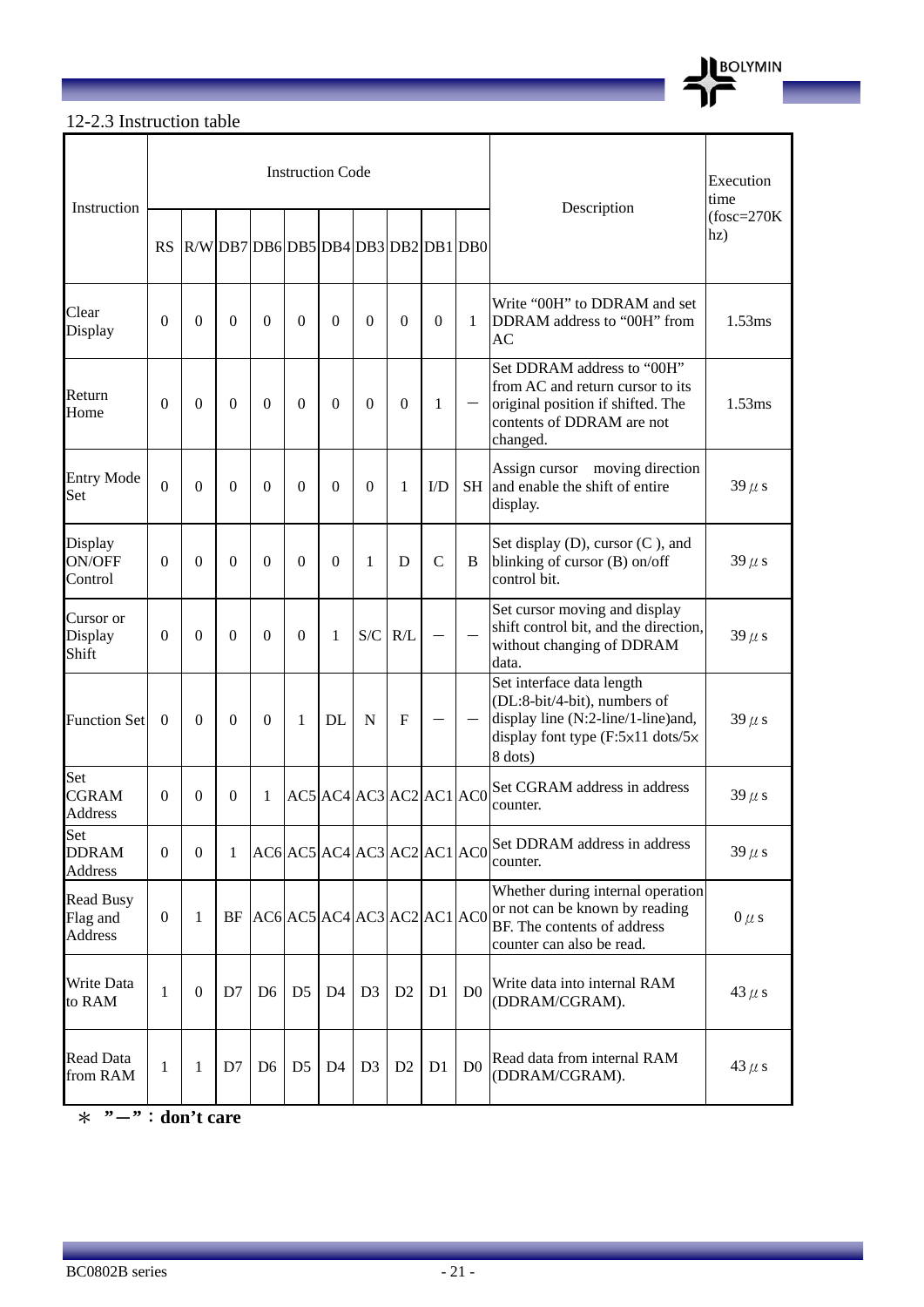

# 12-2.3 Instruction table

| Instruction                             |                  |              |                |                                     | <b>Instruction Code</b> |                |                |                             |                | Description    | Execution<br>time                                                                                                                                                   |                      |
|-----------------------------------------|------------------|--------------|----------------|-------------------------------------|-------------------------|----------------|----------------|-----------------------------|----------------|----------------|---------------------------------------------------------------------------------------------------------------------------------------------------------------------|----------------------|
|                                         | RS               |              |                | R/W DB7 DB6 DB5 DB4 DB3 DB2 DB1 DB0 |                         |                |                |                             |                |                |                                                                                                                                                                     | $(fosc=270K)$<br>hz) |
| Clear<br>Display                        | $\Omega$         | $\Omega$     | $\Omega$       | $\Omega$                            | $\theta$                | $\Omega$       | $\Omega$       | $\Omega$                    | $\Omega$       | 1              | Write "00H" to DDRAM and set<br>DDRAM address to "00H" from<br><b>AC</b>                                                                                            | 1.53ms               |
| Return<br>Home                          | $\theta$         | $\Omega$     | $\Omega$       | $\Omega$                            | $\theta$                | $\Omega$       | $\theta$       | $\Omega$                    | 1              |                | Set DDRAM address to "00H"<br>from AC and return cursor to its<br>original position if shifted. The<br>contents of DDRAM are not<br>changed.                        | 1.53ms               |
| <b>Entry Mode</b><br>Set                | $\overline{0}$   | $\Omega$     | $\Omega$       | $\Omega$                            | $\theta$                | $\Omega$       | $\Omega$       | 1                           | $\rm{ID}$      | <b>SH</b>      | Assign cursor moving direction<br>and enable the shift of entire<br>display.                                                                                        | $39 \mu s$           |
| Display<br>ON/OFF<br>Control            | $\theta$         | $\Omega$     | $\theta$       | $\Omega$                            | $\theta$                | $\Omega$       | 1              | D                           | $\mathbf C$    | B              | Set display (D), cursor (C), and<br>blinking of cursor (B) on/off<br>control bit.                                                                                   | $39 \mu s$           |
| Cursor or<br>Display<br>Shift           | $\theta$         | $\Omega$     | $\theta$       | $\Omega$                            | $\theta$                | 1              | S/C            | R/L                         |                |                | Set cursor moving and display<br>shift control bit, and the direction,<br>without changing of DDRAM<br>data.                                                        | $39 \mu s$           |
| <b>Function Set</b>                     | $\Omega$         | $\Omega$     | $\theta$       | $\Omega$                            | 1                       | DL             | N              | F                           |                |                | Set interface data length<br>(DL:8-bit/4-bit), numbers of<br>display line (N:2-line/1-line)and,<br>display font type $(F:5\times11 \text{ dots}/5\times$<br>8 dots) | $39 \mu s$           |
| Set<br><b>CGRAM</b><br><b>Address</b>   | $\Omega$         | $\theta$     | 0              | 1                                   |                         |                |                | AC5 AC4 AC3 AC2 AC1 AC0     |                |                | Set CGRAM address in address<br>counter.                                                                                                                            | $39 \mu s$           |
| Set<br><b>DDRAM</b><br>Address          | $\mathbf{0}$     | $\mathbf{0}$ | 1              |                                     |                         |                |                | AC6 AC5 AC4 AC3 AC2 AC1 AC0 |                |                | Set DDRAM address in address<br>counter.                                                                                                                            | $39 \mu s$           |
| <b>Read Busy</b><br>Flag and<br>Address | $\boldsymbol{0}$ | 1            |                | $BF$ AC6 AC5 AC4 AC3 AC2 AC1 AC0    |                         |                |                |                             |                |                | Whether during internal operation<br>or not can be known by reading<br>BF. The contents of address<br>counter can also be read.                                     | $0 \mu s$            |
| Write Data<br>to RAM                    | $\mathbf{1}$     | $\mathbf{0}$ | D <sub>7</sub> | D <sub>6</sub>                      | D <sub>5</sub>          | D <sub>4</sub> | D <sub>3</sub> | D <sub>2</sub>              | D <sub>1</sub> | D <sub>0</sub> | Write data into internal RAM<br>(DDRAM/CGRAM).                                                                                                                      | 43 $\mu$ s           |
| <b>Read Data</b><br>from RAM            | $\mathbf{1}$     | 1            | D7             | D <sub>6</sub>                      | D <sub>5</sub>          | D <sub>4</sub> | D <sub>3</sub> | D <sub>2</sub>              | D1             | D <sub>0</sub> | Read data from internal RAM<br>(DDRAM/CGRAM).                                                                                                                       | 43 $\mu$ s           |

\* **"**-**"**:**don't care**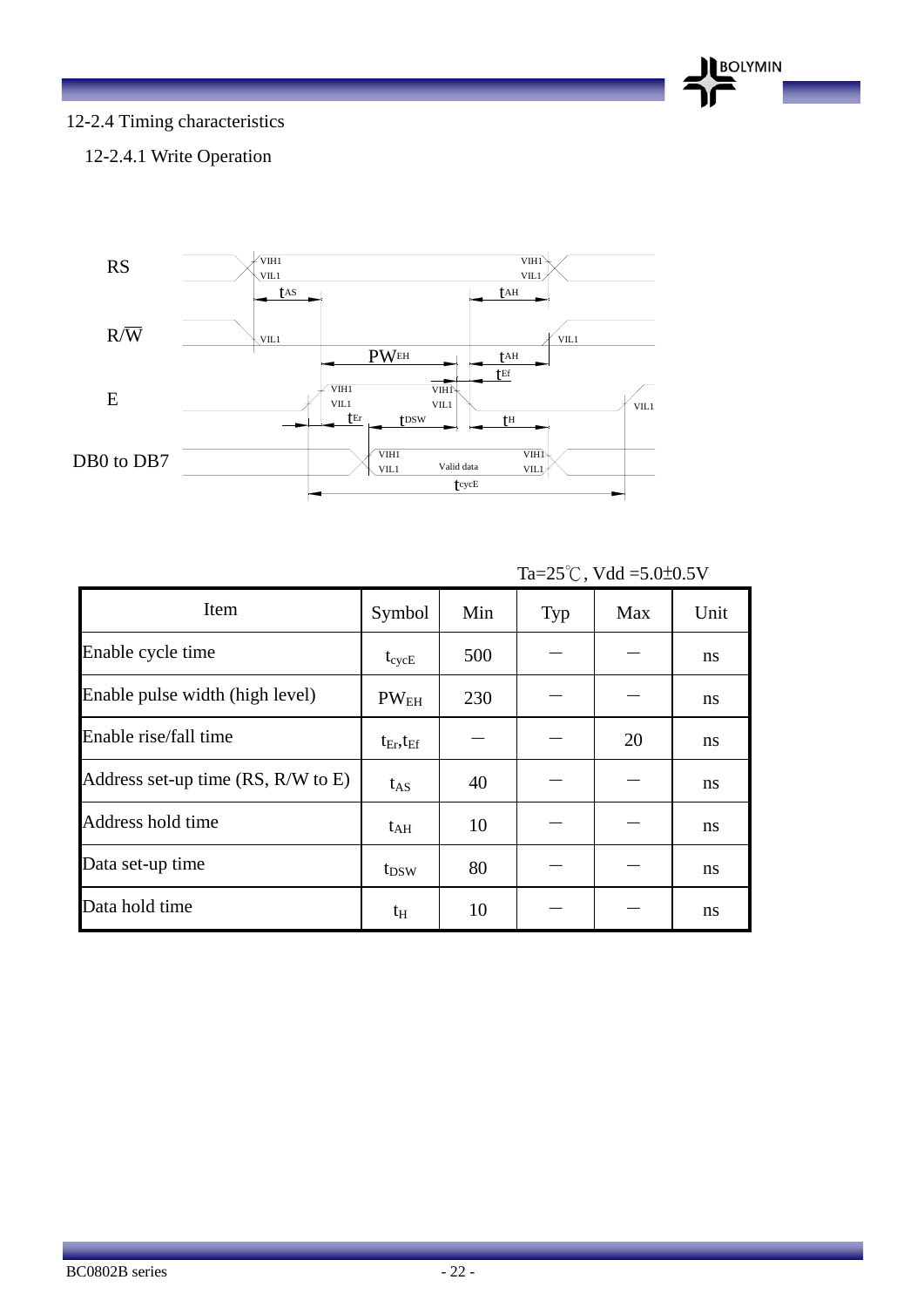

### 12-2.4 Timing characteristics

#### 12-2.4.1 Write Operation



| Item                                   | Symbol              | Min | Typ | Max | Unit          |
|----------------------------------------|---------------------|-----|-----|-----|---------------|
| Enable cycle time                      | $t_{\rm cycE}$      | 500 |     |     | ns            |
| Enable pulse width (high level)        | $PW_{EH}$           | 230 |     |     | ns            |
| Enable rise/fall time                  | $t_{Er}$ , $t_{Ef}$ |     |     | 20  | ns            |
| Address set-up time $(RS, R/W$ to $E)$ | $t_{AS}$            | 40  |     |     | <sub>ns</sub> |
| Address hold time                      | $t_{\rm AH}$        | 10  |     |     | ns            |
| Data set-up time                       | t <sub>DSW</sub>    | 80  |     |     | ns            |
| Data hold time                         | $t_{\rm H}$         | 10  |     |     | ns            |

Ta= $25^{\circ}$ C, Vdd =5.0±0.5V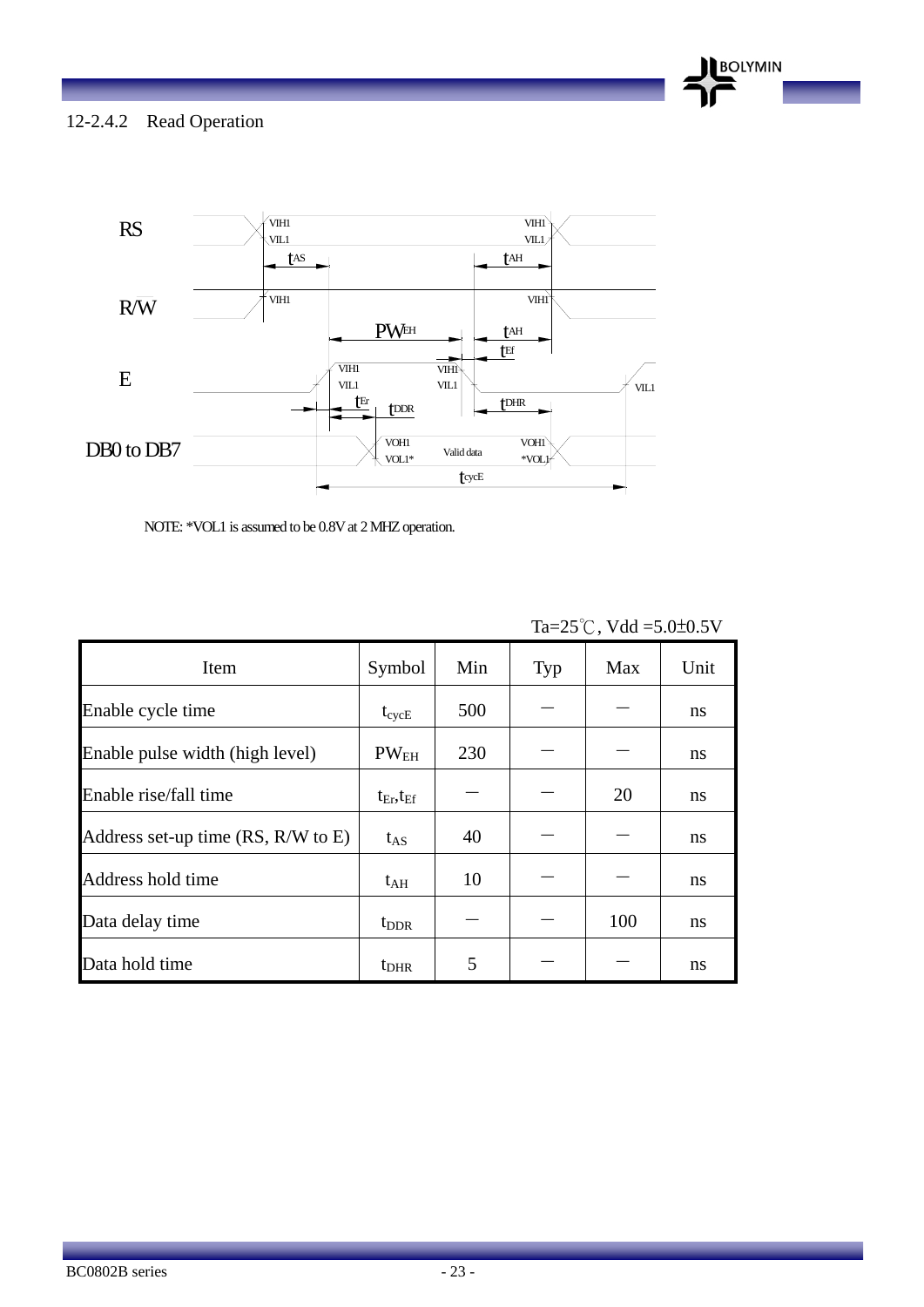BC0802B series - 23 -

12-2.4.2 Read Operation



NOTE: \*VOL1 is assumed to be 0.8V at 2 MHZ operation.

|                                    |                     |     |     | $1a=25$ C, y a $a=5.0$ C $-0.5$ Y |      |
|------------------------------------|---------------------|-----|-----|-----------------------------------|------|
| Item                               | Symbol              | Min | Typ | Max                               | Unit |
| Enable cycle time                  | $t_{\rm cycE}$      | 500 |     |                                   | ns   |
| Enable pulse width (high level)    | PW <sub>EH</sub>    | 230 |     |                                   | ns   |
| Enable rise/fall time              | $t_{Er}$ , $t_{Ef}$ |     |     | 20                                | ns   |
| Address set-up time (RS, R/W to E) | $t_{AS}$            | 40  |     |                                   | ns   |
| Address hold time                  | $t_{\rm AH}$        | 10  |     |                                   | ns   |
| Data delay time                    | t <sub>DDR</sub>    |     |     | 100                               | ns   |
| Data hold time                     | $t_{\rm DHR}$       | 5   |     |                                   | ns   |

 $T_2 - 25^\circ C$ , Vdd  $-5.0 \pm 0.5$ V